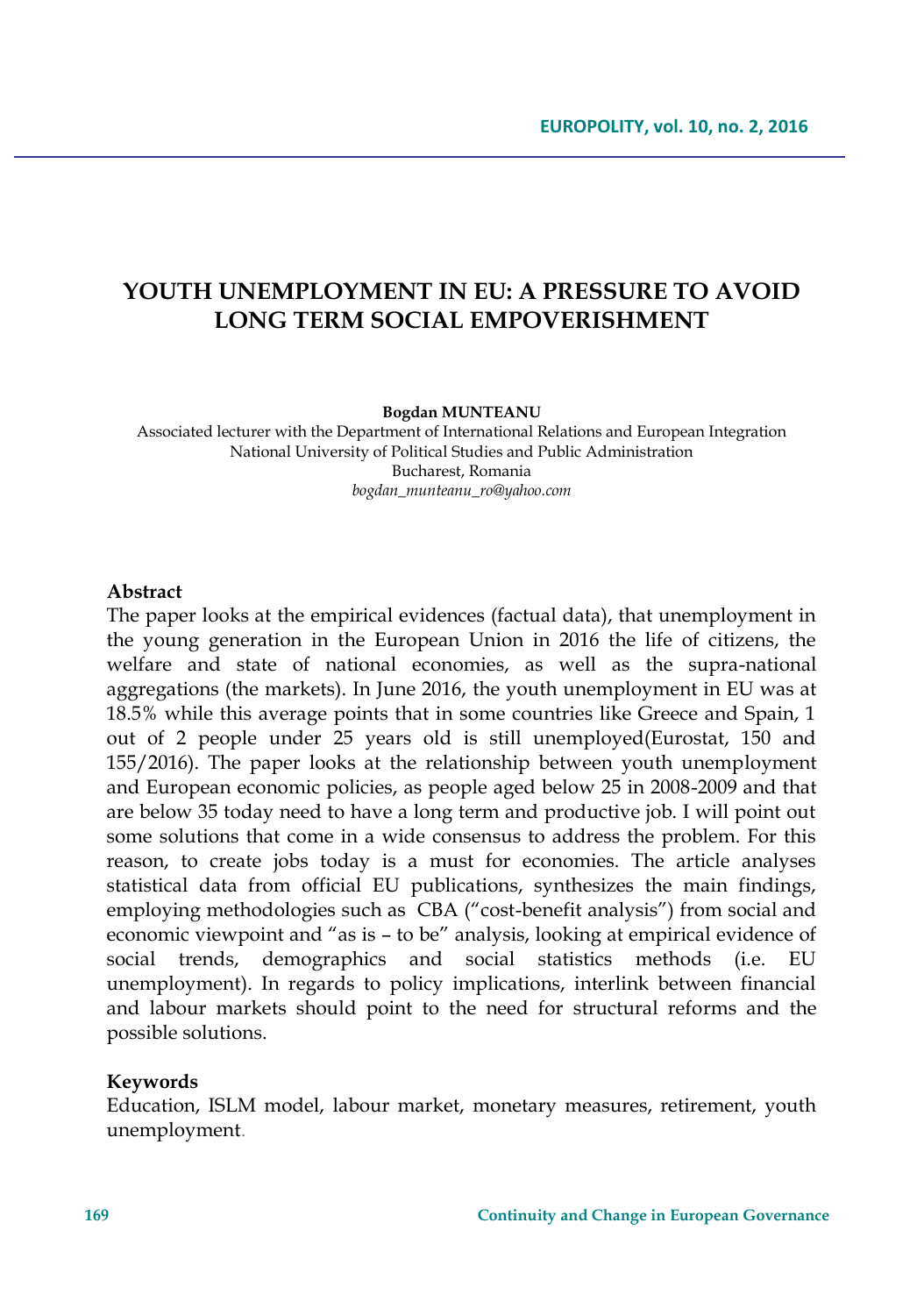# **YOUTH UNEMPLOYMENT IN EU: A PRESSURE TO AVOID LONG TERM SOCIAL EMPOVERISHMENT**

**Bogdan MUNTEANU**

Associated lecturer with the Department of International Relations and European Integration National University of Political Studies and Public Administration Bucharest, Romania *bogdan\_munteanu\_ro@yahoo.com*

#### **Abstract**

The paper looks at the empirical evidences (factual data), that unemployment in the young generation in the European Union in 2016 the life of citizens, the welfare and state of national economies, as well as the supra-national aggregations (the markets). In June 2016, the youth unemployment in EU was at 18.5% while this average points that in some countries like Greece and Spain, 1 out of 2 people under 25 years old is still unemployed(Eurostat, 150 and 155/2016). The paper looks at the relationship between youth unemployment and European economic policies, as people aged below 25 in 2008-2009 and that are below 35 today need to have a long term and productive job. I will point out some solutions that come in a wide consensus to address the problem. For this reason, to create jobs today is a must for economies. The article analyses statistical data from official EU publications, synthesizes the main findings, employing methodologies such as CBA ("cost-benefit analysis") from social and economic viewpoint and "as is – to be" analysis, looking at empirical evidence of social trends, demographics and social statistics methods (i.e. EU unemployment). In regards to policy implications, interlink between financial and labour markets should point to the need for structural reforms and the possible solutions.

#### **Keywords**

Education, ISLM model, labour market, monetary measures, retirement, youth unemployment.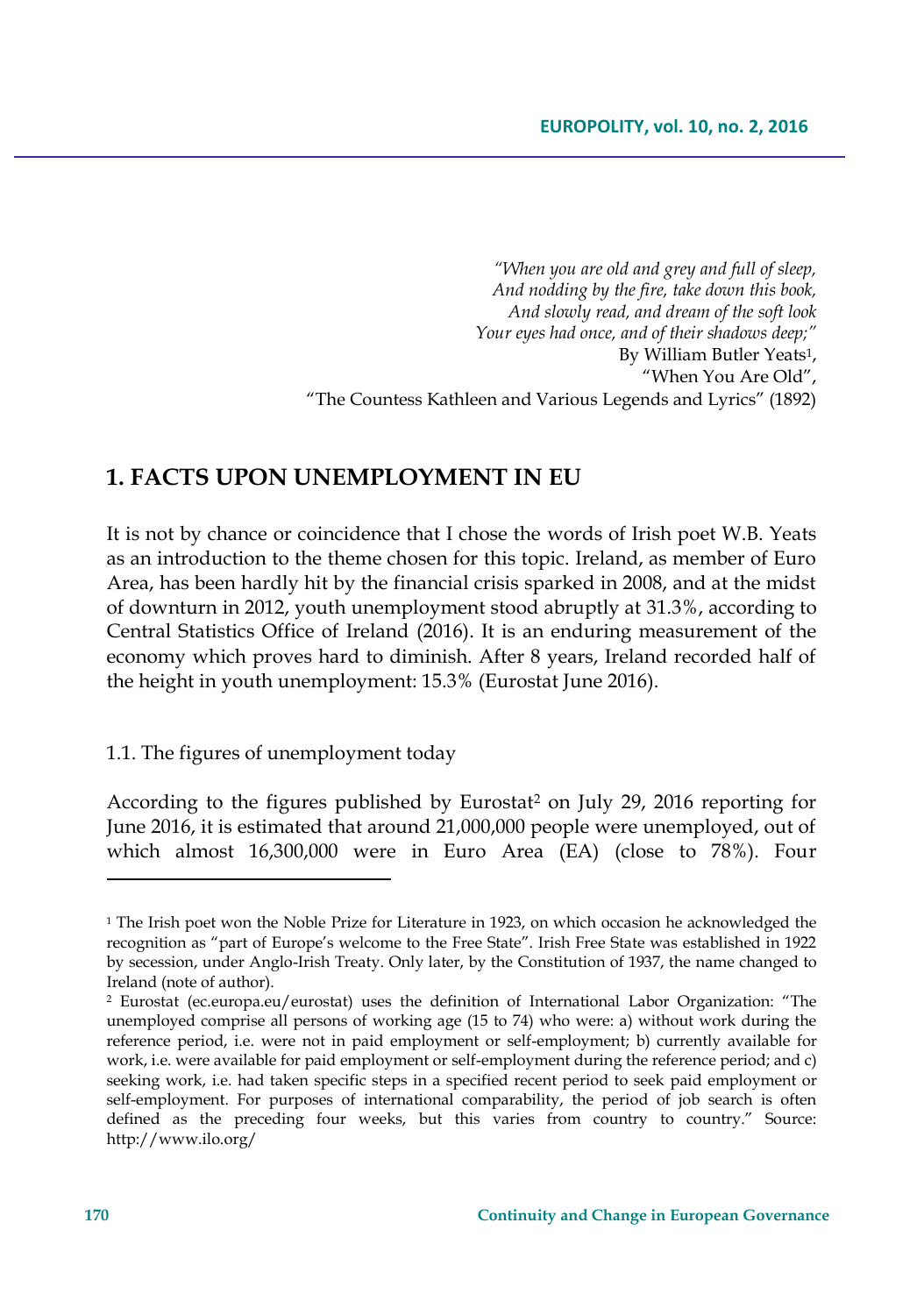*"When you are old and grey and full of sleep, And nodding by the fire, take down this book, And slowly read, and dream of the soft look Your eyes had once, and of their shadows deep;"* By William Butler Yeats1, "When You Are Old", "The Countess Kathleen and Various Legends and Lyrics" (1892)

## **1. FACTS UPON UNEMPLOYMENT IN EU**

It is not by chance or coincidence that I chose the words of Irish poet W.B. Yeats as an introduction to the theme chosen for this topic. Ireland, as member of Euro Area, has been hardly hit by the financial crisis sparked in 2008, and at the midst of downturn in 2012, youth unemployment stood abruptly at 31.3%, according to Central Statistics Office of Ireland (2016). It is an enduring measurement of the economy which proves hard to diminish. After 8 years, Ireland recorded half of the height in youth unemployment: 15.3% (Eurostat June 2016).

1.1. The figures of unemployment today

According to the figures published by Eurostat<sup>2</sup> on July 29, 2016 reporting for June 2016, it is estimated that around 21,000,000 people were unemployed, out of which almost 16,300,000 were in Euro Area (EA) (close to 78%). Four

<sup>&</sup>lt;sup>1</sup> The Irish poet won the Noble Prize for Literature in 1923, on which occasion he acknowledged the recognition as "part of Europe's welcome to the Free State". Irish Free State was established in 1922 by secession, under Anglo-Irish Treaty. Only later, by the Constitution of 1937, the name changed to Ireland (note of author).

<sup>2</sup> Eurostat (ec.europa.eu/eurostat) uses the definition of International Labor Organization: "The unemployed comprise all persons of working age (15 to 74) who were: a) without work during the reference period, i.e. were not in paid employment or self-employment; b) currently available for work, i.e. were available for paid employment or self-employment during the reference period; and c) seeking work, i.e. had taken specific steps in a specified recent period to seek paid employment or self-employment. For purposes of international comparability, the period of job search is often defined as the preceding four weeks, but this varies from country to country." Source: http://www.ilo.org/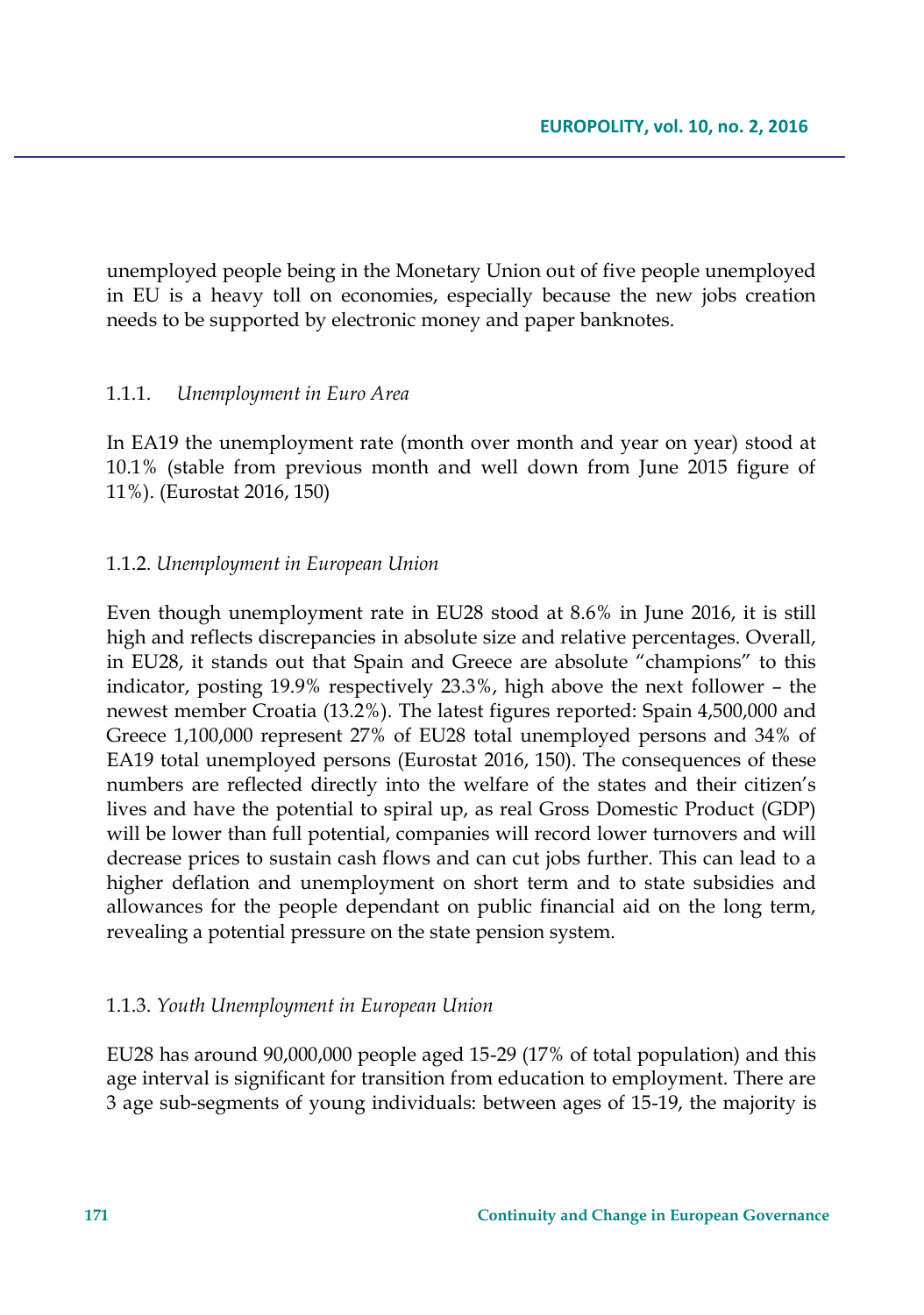unemployed people being in the Monetary Union out of five people unemployed in EU is a heavy toll on economies, especially because the new jobs creation needs to be supported by electronic money and paper banknotes.

## 1.1.1. *Unemployment in Euro Area*

In EA19 the unemployment rate (month over month and year on year) stood at 10.1% (stable from previous month and well down from June 2015 figure of 11%). (Eurostat 2016, 150)

#### 1.1.2. *Unemployment in European Union*

Even though unemployment rate in EU28 stood at 8.6% in June 2016, it is still high and reflects discrepancies in absolute size and relative percentages. Overall, in EU28, it stands out that Spain and Greece are absolute "champions" to this indicator, posting 19.9% respectively 23.3%, high above the next follower – the newest member Croatia (13.2%). The latest figures reported: Spain 4,500,000 and Greece 1,100,000 represent 27% of EU28 total unemployed persons and 34% of EA19 total unemployed persons (Eurostat 2016, 150). The consequences of these numbers are reflected directly into the welfare of the states and their citizen's lives and have the potential to spiral up, as real Gross Domestic Product (GDP) will be lower than full potential, companies will record lower turnovers and will decrease prices to sustain cash flows and can cut jobs further. This can lead to a higher deflation and unemployment on short term and to state subsidies and allowances for the people dependant on public financial aid on the long term, revealing a potential pressure on the state pension system.

#### 1.1.3. *Youth Unemployment in European Union*

EU28 has around 90,000,000 people aged 15-29 (17% of total population) and this age interval is significant for transition from education to employment. There are 3 age sub-segments of young individuals: between ages of 15-19, the majority is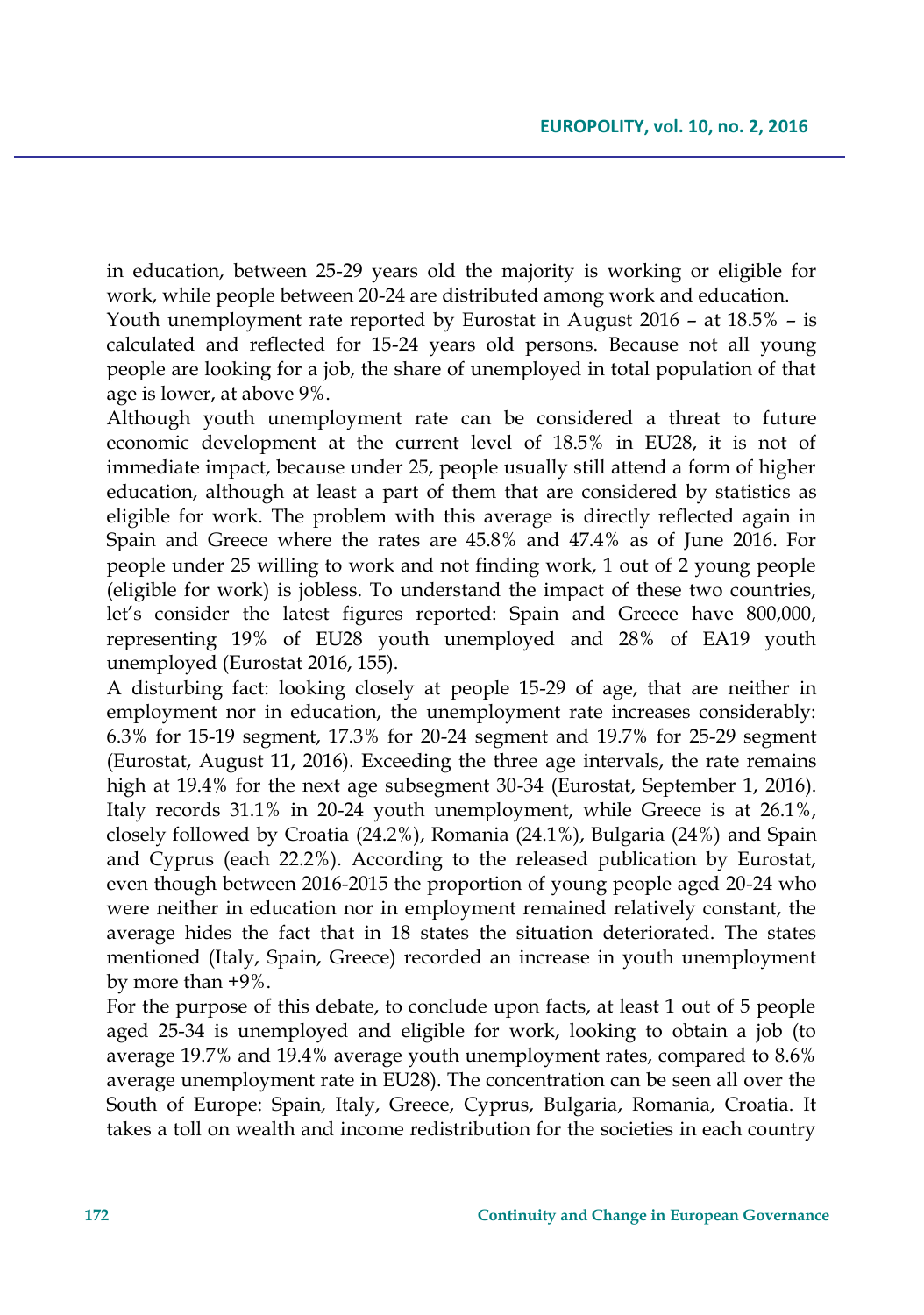in education, between 25-29 years old the majority is working or eligible for work, while people between 20-24 are distributed among work and education.

Youth unemployment rate reported by Eurostat in August 2016 – at 18.5% – is calculated and reflected for 15-24 years old persons. Because not all young people are looking for a job, the share of unemployed in total population of that age is lower, at above 9%.

Although youth unemployment rate can be considered a threat to future economic development at the current level of 18.5% in EU28, it is not of immediate impact, because under 25, people usually still attend a form of higher education, although at least a part of them that are considered by statistics as eligible for work. The problem with this average is directly reflected again in Spain and Greece where the rates are 45.8% and 47.4% as of June 2016. For people under 25 willing to work and not finding work, 1 out of 2 young people (eligible for work) is jobless. To understand the impact of these two countries, let's consider the latest figures reported: Spain and Greece have 800,000, representing 19% of EU28 youth unemployed and 28% of EA19 youth unemployed (Eurostat 2016, 155).

A disturbing fact: looking closely at people 15-29 of age, that are neither in employment nor in education, the unemployment rate increases considerably: 6.3% for 15-19 segment, 17.3% for 20-24 segment and 19.7% for 25-29 segment (Eurostat, August 11, 2016). Exceeding the three age intervals, the rate remains high at 19.4% for the next age subsegment 30-34 (Eurostat, September 1, 2016). Italy records 31.1% in 20-24 youth unemployment, while Greece is at 26.1%, closely followed by Croatia (24.2%), Romania (24.1%), Bulgaria (24%) and Spain and Cyprus (each 22.2%). According to the released publication by Eurostat, even though between 2016-2015 the proportion of young people aged 20-24 who were neither in education nor in employment remained relatively constant, the average hides the fact that in 18 states the situation deteriorated. The states mentioned (Italy, Spain, Greece) recorded an increase in youth unemployment by more than +9%.

For the purpose of this debate, to conclude upon facts, at least 1 out of 5 people aged 25-34 is unemployed and eligible for work, looking to obtain a job (to average 19.7% and 19.4% average youth unemployment rates, compared to 8.6% average unemployment rate in EU28). The concentration can be seen all over the South of Europe: Spain, Italy, Greece, Cyprus, Bulgaria, Romania, Croatia. It takes a toll on wealth and income redistribution for the societies in each country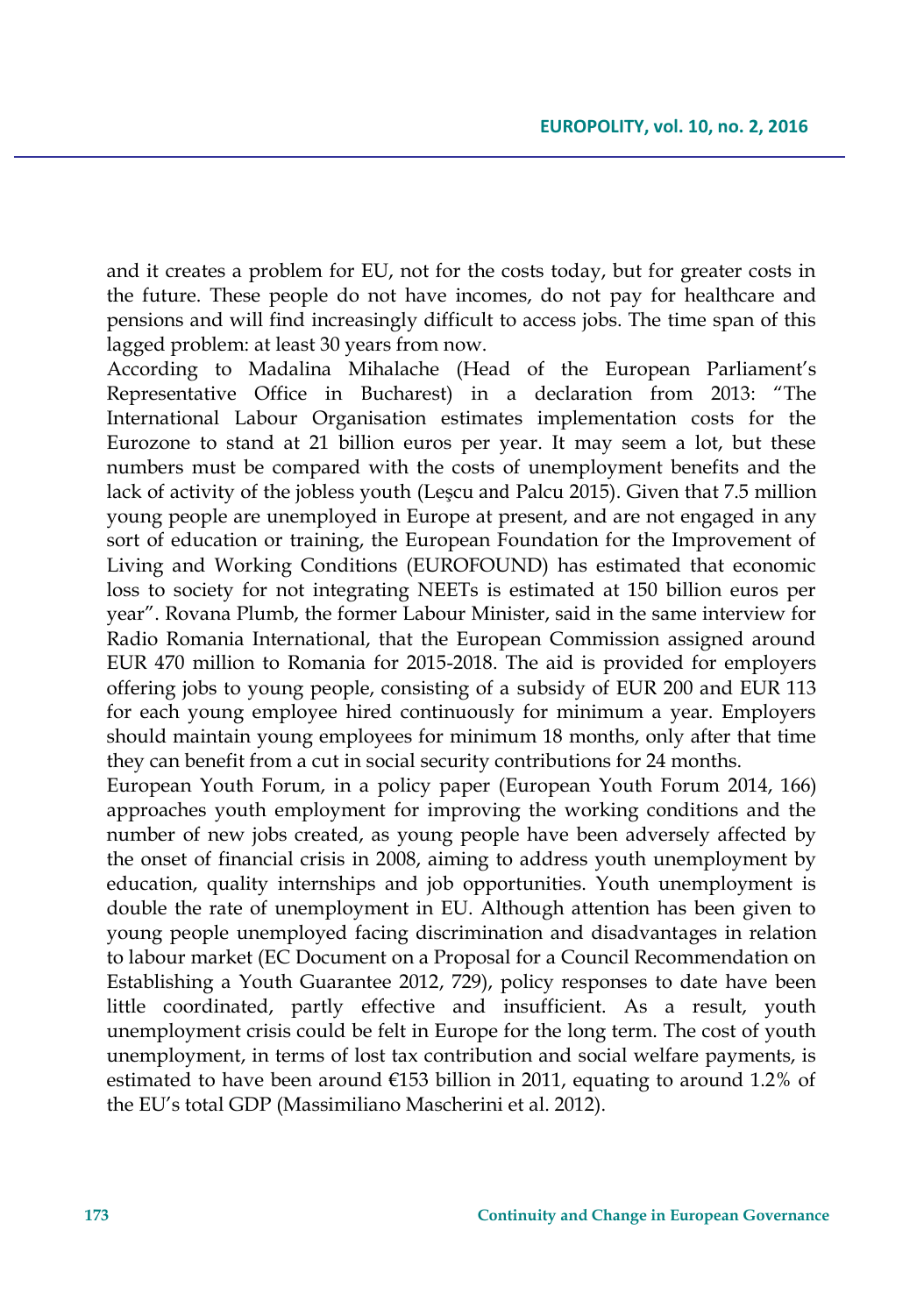and it creates a problem for EU, not for the costs today, but for greater costs in the future. These people do not have incomes, do not pay for healthcare and pensions and will find increasingly difficult to access jobs. The time span of this lagged problem: at least 30 years from now.

According to Madalina Mihalache (Head of the European Parliament's Representative Office in Bucharest) in a declaration from 2013: "The International Labour Organisation estimates implementation costs for the Eurozone to stand at 21 billion euros per year. It may seem a lot, but these numbers must be compared with the costs of unemployment benefits and the lack of activity of the jobless youth ([Leşcu](http://www.rri.ro/en_gb/supporting_the_labour_market_insertion_of_young_people-2530016) and Palcu 2015). Given that 7.5 million young people are unemployed in Europe at present, and are not engaged in any sort of education or training, the European Foundation for the Improvement of Living and Working Conditions (EUROFOUND) has estimated that economic loss to society for not integrating NEETs is estimated at 150 billion euros per year". Rovana Plumb, the former Labour Minister, said in the same interview for Radio Romania International, that the European Commission assigned around EUR 470 million to Romania for 2015-2018. The aid is provided for employers offering jobs to young people, consisting of a subsidy of EUR 200 and EUR 113 for each young employee hired continuously for minimum a year. Employers should maintain young employees for minimum 18 months, only after that time they can benefit from a cut in social security contributions for 24 months.

European Youth Forum, in a policy paper (European Youth Forum 2014, 166) approaches youth employment for improving the working conditions and the number of new jobs created, as young people have been adversely affected by the onset of financial crisis in 2008, aiming to address youth unemployment by education, quality internships and job opportunities. Youth unemployment is double the rate of unemployment in EU. Although attention has been given to young people unemployed facing discrimination and disadvantages in relation to labour market (EC Document on a Proposal for a Council Recommendation on Establishing a Youth Guarantee 2012, 729), policy responses to date have been little coordinated, partly effective and insufficient. As a result, youth unemployment crisis could be felt in Europe for the long term. The cost of youth unemployment, in terms of lost tax contribution and social welfare payments, is estimated to have been around  $\epsilon$ 153 billion in 2011, equating to around 1.2% of the EU's total GDP (Massimiliano Mascherini et al. 2012).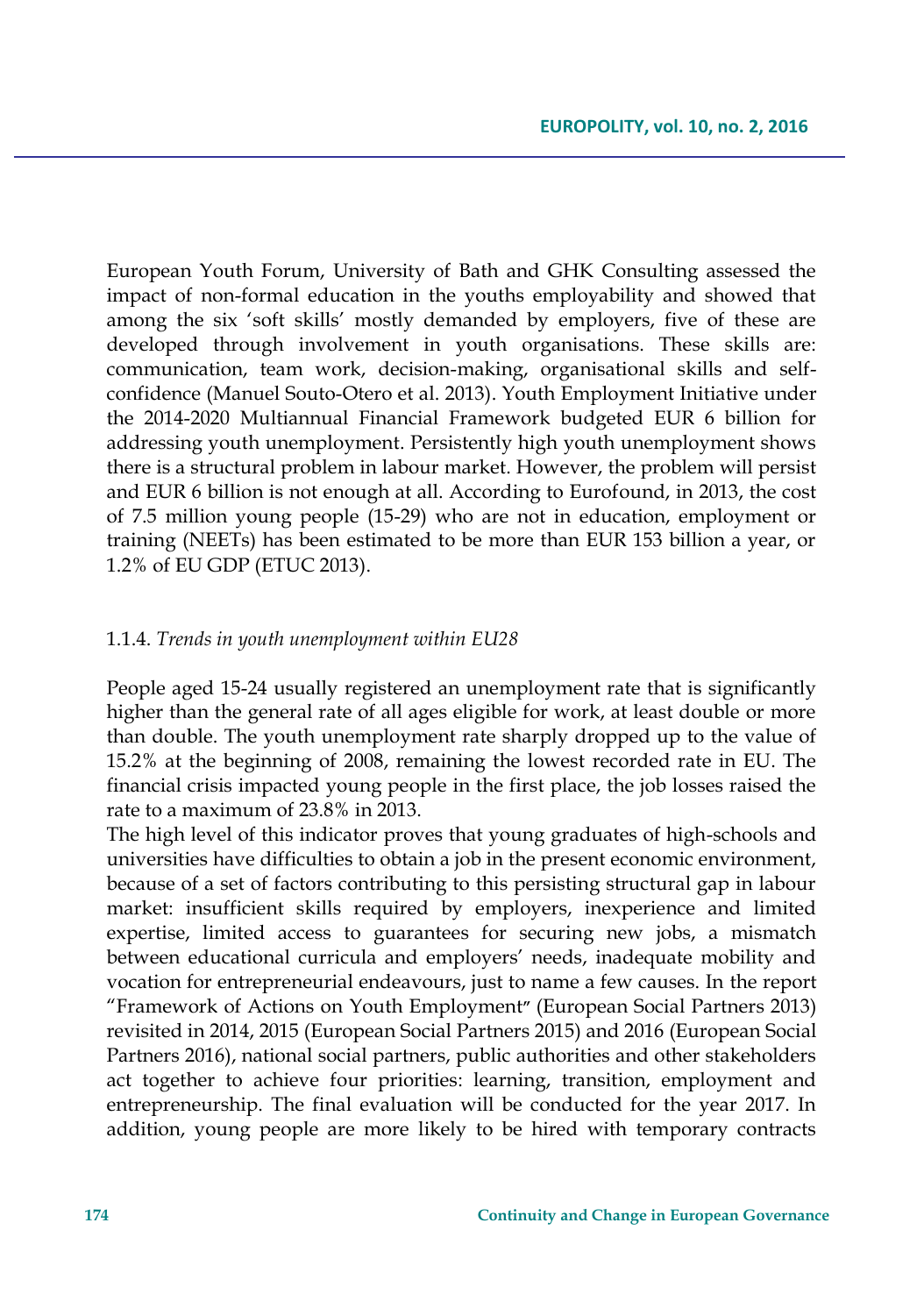European Youth Forum, University of Bath and GHK Consulting assessed the impact of non-formal education in the youths employability and showed that among the six 'soft skills' mostly demanded by employers, five of these are developed through involvement in youth organisations. These skills are: communication, team work, decision-making, organisational skills and selfconfidence (Manuel Souto-Otero et al. 2013). Youth Employment Initiative under the 2014-2020 Multiannual Financial Framework budgeted EUR 6 billion for addressing youth unemployment. Persistently high youth unemployment shows there is a structural problem in labour market. However, the problem will persist and EUR 6 billion is not enough at all. According to Eurofound, in 2013, the cost of 7.5 million young people (15-29) who are not in education, employment or training (NEETs) has been estimated to be more than EUR 153 billion a year, or 1.2% of EU GDP (ETUC 2013).

#### 1.1.4. *Trends in youth unemployment within EU28*

People aged 15-24 usually registered an unemployment rate that is significantly higher than the general rate of all ages eligible for work, at least double or more than double. The youth unemployment rate sharply dropped up to the value of 15.2% at the beginning of 2008, remaining the lowest recorded rate in EU. The financial crisis impacted young people in the first place, the job losses raised the rate to a maximum of 23.8% in 2013.

The high level of this indicator proves that young graduates of high-schools and universities have difficulties to obtain a job in the present economic environment, because of a set of factors contributing to this persisting structural gap in labour market: insufficient skills required by employers, inexperience and limited expertise, limited access to guarantees for securing new jobs, a mismatch between educational curricula and employers' needs, inadequate mobility and vocation for entrepreneurial endeavours, just to name a few causes. In the report "Framework of Actions on Youth Employment**"** (European Social Partners 2013) revisited in 2014, 2015 (European Social Partners 2015) and 2016 (European Social Partners 2016), national social partners, public authorities and other stakeholders act together to achieve four priorities: learning, transition, employment and entrepreneurship. The final evaluation will be conducted for the year 2017. In addition, young people are more likely to be hired with temporary contracts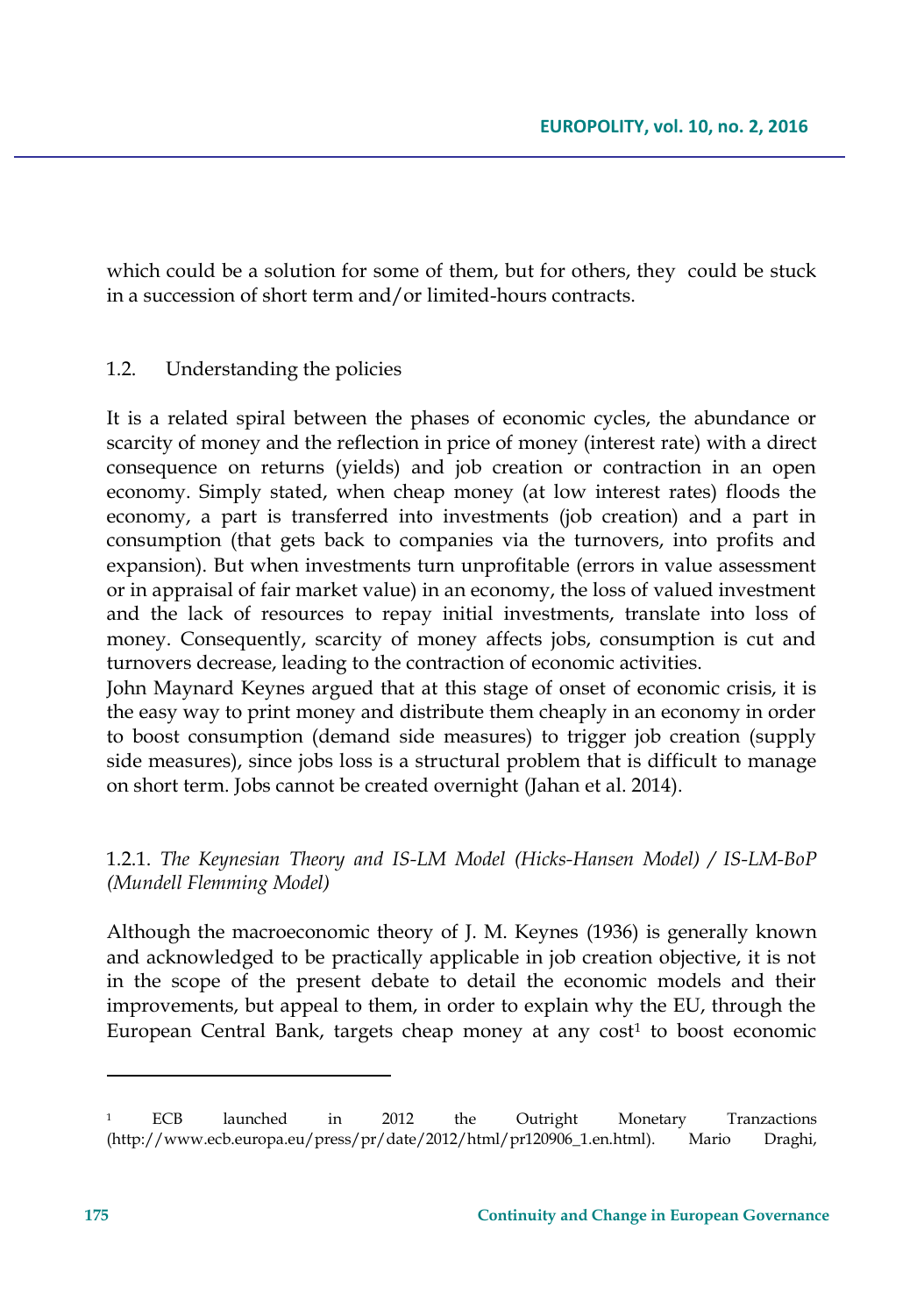which could be a solution for some of them, but for others, they could be stuck in a succession of short term and/or limited-hours contracts.

#### 1.2. Understanding the policies

It is a related spiral between the phases of economic cycles, the abundance or scarcity of money and the reflection in price of money (interest rate) with a direct consequence on returns (yields) and job creation or contraction in an open economy. Simply stated, when cheap money (at low interest rates) floods the economy, a part is transferred into investments (job creation) and a part in consumption (that gets back to companies via the turnovers, into profits and expansion). But when investments turn unprofitable (errors in value assessment or in appraisal of fair market value) in an economy, the loss of valued investment and the lack of resources to repay initial investments, translate into loss of money. Consequently, scarcity of money affects jobs, consumption is cut and turnovers decrease, leading to the contraction of economic activities.

John Maynard Keynes argued that at this stage of onset of economic crisis, it is the easy way to print money and distribute them cheaply in an economy in order to boost consumption (demand side measures) to trigger job creation (supply side measures), since jobs loss is a structural problem that is difficult to manage on short term. Jobs cannot be created overnight (Jahan et al. 2014).

## 1.2.1. *The Keynesian Theory and IS-LM Model (Hicks-Hansen Model) / IS-LM-BoP (Mundell Flemming Model)*

Although the macroeconomic theory of J. M. Keynes (1936) is generally known and acknowledged to be practically applicable in job creation objective, it is not in the scope of the present debate to detail the economic models and their improvements, but appeal to them, in order to explain why the EU, through the European Central Bank, targets cheap money at any cost<sup>1</sup> to boost economic

<sup>&</sup>lt;sup>1</sup> ECB launched in 2012 the Outright Monetary Tranzactions (http://www.ecb.europa.eu/press/pr/date/2012/html/pr120906\_1.en.html). Mario Draghi,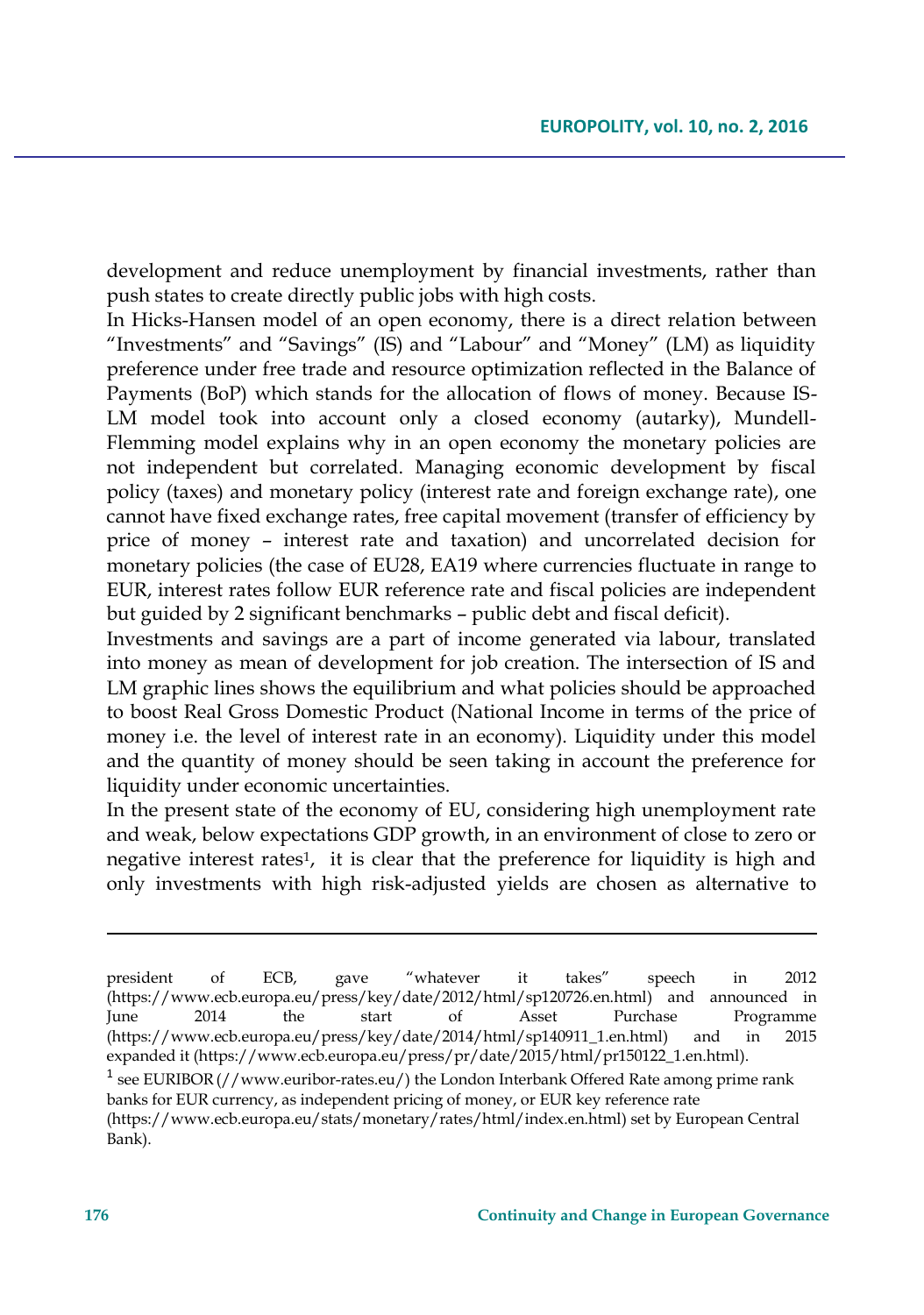development and reduce unemployment by financial investments, rather than push states to create directly public jobs with high costs.

In Hicks-Hansen model of an open economy, there is a direct relation between "Investments" and "Savings" (IS) and "Labour" and "Money" (LM) as liquidity preference under free trade and resource optimization reflected in the Balance of Payments (BoP) which stands for the allocation of flows of money. Because IS-LM model took into account only a closed economy (autarky), Mundell-Flemming model explains why in an open economy the monetary policies are not independent but correlated. Managing economic development by fiscal policy (taxes) and monetary policy (interest rate and foreign exchange rate), one cannot have fixed exchange rates, free capital movement (transfer of efficiency by price of money – interest rate and taxation) and uncorrelated decision for monetary policies (the case of EU28, EA19 where currencies fluctuate in range to EUR, interest rates follow EUR reference rate and fiscal policies are independent but guided by 2 significant benchmarks – public debt and fiscal deficit).

Investments and savings are a part of income generated via labour, translated into money as mean of development for job creation. The intersection of IS and LM graphic lines shows the equilibrium and what policies should be approached to boost Real Gross Domestic Product (National Income in terms of the price of money i.e. the level of interest rate in an economy). Liquidity under this model and the quantity of money should be seen taking in account the preference for liquidity under economic uncertainties.

In the present state of the economy of EU, considering high unemployment rate and weak, below expectations GDP growth, in an environment of close to zero or negative interest rates<sup>1</sup>, it is clear that the preference for liquidity is high and only investments with high risk-adjusted yields are chosen as alternative to

<sup>1</sup> see EURIBOR (//www.euribor-rates.eu/) the London Interbank Offered Rate among prime rank banks for EUR currency, as independent pricing of money, or EUR key reference rate (https://www.ecb.europa.eu/stats/monetary/rates/html/index.en.html) set by European Central Bank).

 $\overline{\phantom{a}}$ 

president of ECB, gave "whatever it takes" speech in 2012 (https://www.ecb.europa.eu/press/key/date/2012/html/sp120726.en.html) and announced in June 2014 the start of Asset Purchase Programme (https://www.ecb.europa.eu/press/key/date/2014/html/sp140911\_1.en.html) and in 2015 expanded it (https://www.ecb.europa.eu/press/pr/date/2015/html/pr150122\_1.en.html).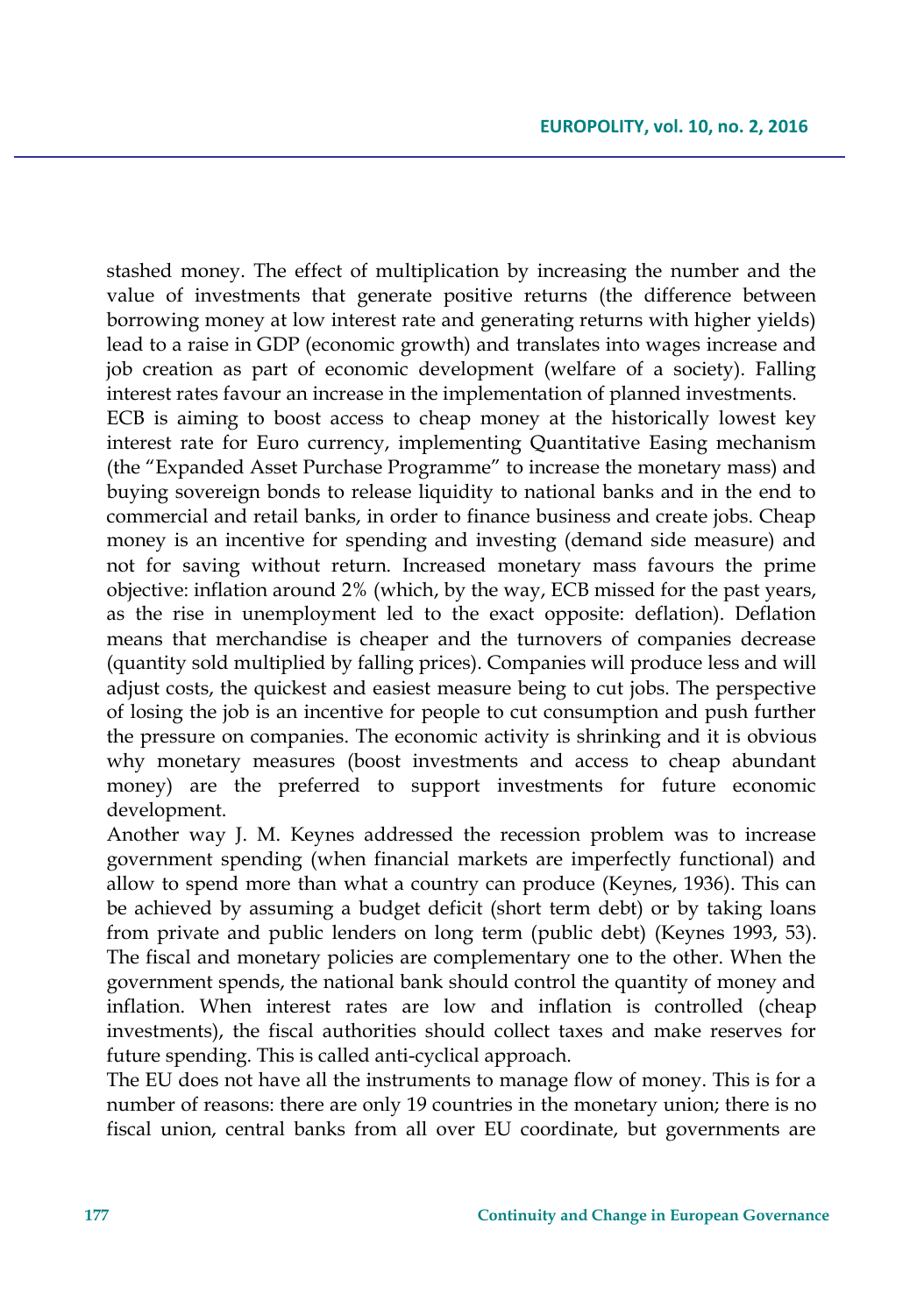stashed money. The effect of multiplication by increasing the number and the value of investments that generate positive returns (the difference between borrowing money at low interest rate and generating returns with higher yields) lead to a raise in GDP (economic growth) and translates into wages increase and job creation as part of economic development (welfare of a society). Falling interest rates favour an increase in the implementation of planned investments.

ECB is aiming to boost access to cheap money at the historically lowest key interest rate for Euro currency, implementing Quantitative Easing mechanism (the "Expanded Asset Purchase Programme" to increase the monetary mass) and buying sovereign bonds to release liquidity to national banks and in the end to commercial and retail banks, in order to finance business and create jobs. Cheap money is an incentive for spending and investing (demand side measure) and not for saving without return. Increased monetary mass favours the prime objective: inflation around 2% (which, by the way, ECB missed for the past years, as the rise in unemployment led to the exact opposite: deflation). Deflation means that merchandise is cheaper and the turnovers of companies decrease (quantity sold multiplied by falling prices). Companies will produce less and will adjust costs, the quickest and easiest measure being to cut jobs. The perspective of losing the job is an incentive for people to cut consumption and push further the pressure on companies. The economic activity is shrinking and it is obvious why monetary measures (boost investments and access to cheap abundant money) are the preferred to support investments for future economic development.

Another way J. M. Keynes addressed the recession problem was to increase government spending (when financial markets are imperfectly functional) and allow to spend more than what a country can produce (Keynes, 1936). This can be achieved by assuming a budget deficit (short term debt) or by taking loans from private and public lenders on long term (public debt) (Keynes 1993, 53). The fiscal and monetary policies are complementary one to the other. When the government spends, the national bank should control the quantity of money and inflation. When interest rates are low and inflation is controlled (cheap investments), the fiscal authorities should collect taxes and make reserves for future spending. This is called anti-cyclical approach.

The EU does not have all the instruments to manage flow of money. This is for a number of reasons: there are only 19 countries in the monetary union; there is no fiscal union, central banks from all over EU coordinate, but governments are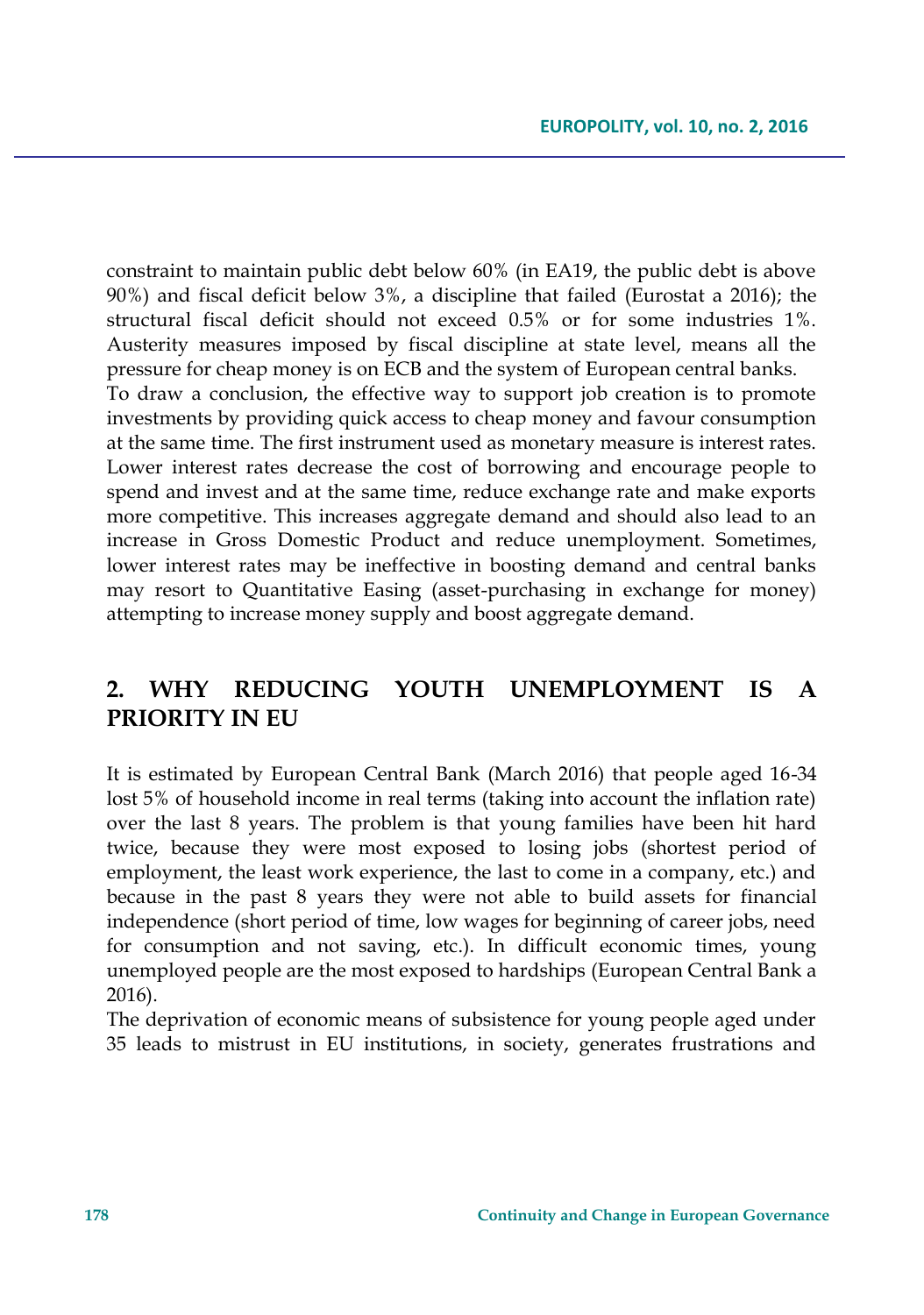constraint to maintain public debt below 60% (in EA19, the public debt is above 90%) and fiscal deficit below 3%, a discipline that failed (Eurostat a 2016); the structural fiscal deficit should not exceed 0.5% or for some industries 1%. Austerity measures imposed by fiscal discipline at state level, means all the pressure for cheap money is on ECB and the system of European central banks. To draw a conclusion, the effective way to support job creation is to promote investments by providing quick access to cheap money and favour consumption at the same time. The first instrument used as monetary measure is interest rates. Lower interest rates decrease the cost of borrowing and encourage people to spend and invest and at the same time, reduce exchange rate and make exports more competitive. This increases aggregate demand and should also lead to an increase in Gross Domestic Product and reduce unemployment. Sometimes, lower interest rates may be ineffective in boosting demand and central banks may resort to Quantitative Easing (asset-purchasing in exchange for money) attempting to increase money supply and boost aggregate demand.

# **2. WHY REDUCING YOUTH UNEMPLOYMENT IS A PRIORITY IN EU**

It is estimated by European Central Bank (March 2016) that people aged 16-34 lost 5% of household income in real terms (taking into account the inflation rate) over the last 8 years. The problem is that young families have been hit hard twice, because they were most exposed to losing jobs (shortest period of employment, the least work experience, the last to come in a company, etc.) and because in the past 8 years they were not able to build assets for financial independence (short period of time, low wages for beginning of career jobs, need for consumption and not saving, etc.). In difficult economic times, young unemployed people are the most exposed to hardships (European Central Bank a 2016).

The deprivation of economic means of subsistence for young people aged under 35 leads to mistrust in EU institutions, in society, generates frustrations and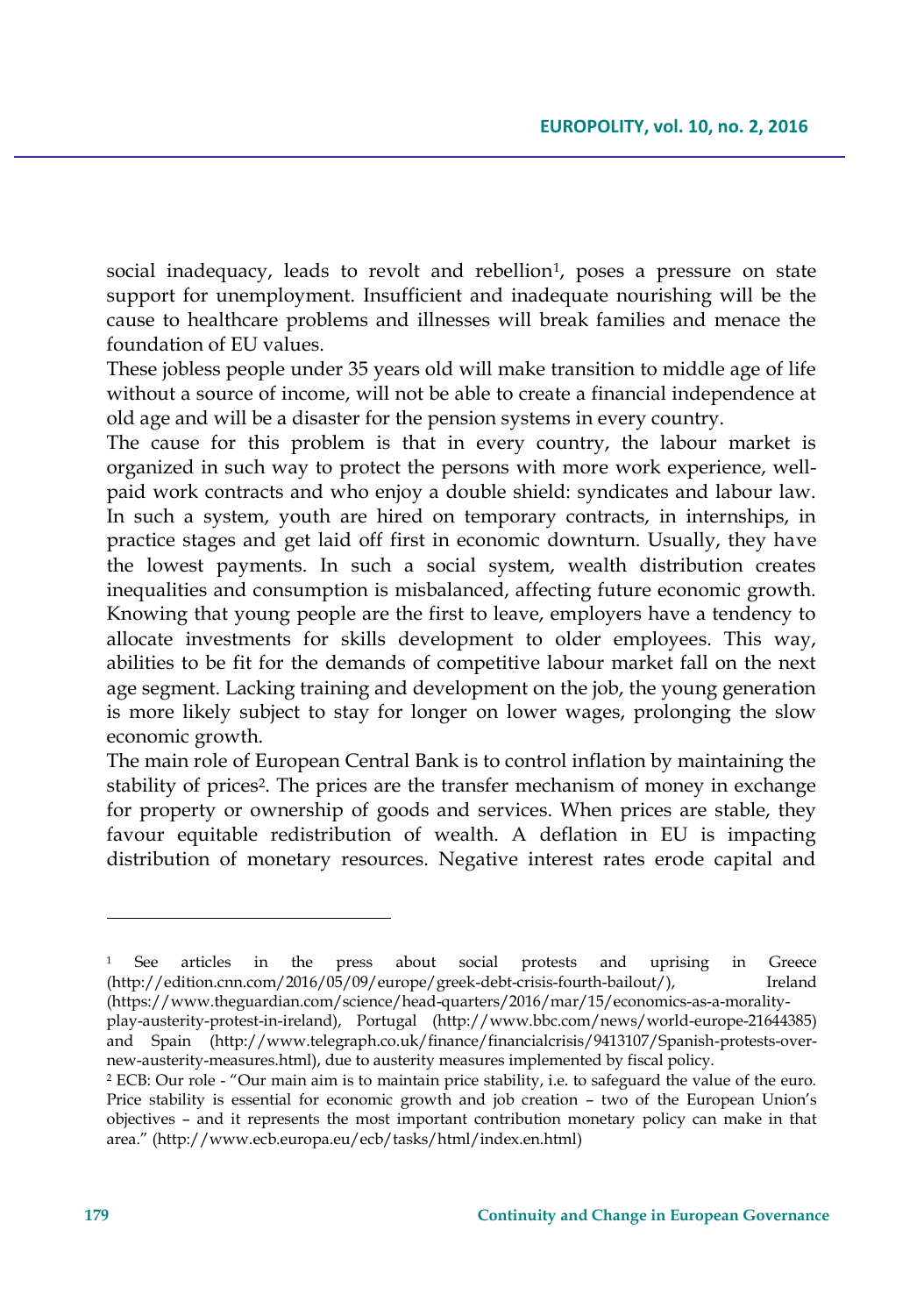social inadequacy, leads to revolt and rebellion<sup>1</sup>, poses a pressure on state support for unemployment. Insufficient and inadequate nourishing will be the cause to healthcare problems and illnesses will break families and menace the foundation of EU values.

These jobless people under 35 years old will make transition to middle age of life without a source of income, will not be able to create a financial independence at old age and will be a disaster for the pension systems in every country.

The cause for this problem is that in every country, the labour market is organized in such way to protect the persons with more work experience, wellpaid work contracts and who enjoy a double shield: syndicates and labour law. In such a system, youth are hired on temporary contracts, in internships, in practice stages and get laid off first in economic downturn. Usually, they have the lowest payments. In such a social system, wealth distribution creates inequalities and consumption is misbalanced, affecting future economic growth. Knowing that young people are the first to leave, employers have a tendency to allocate investments for skills development to older employees. This way, abilities to be fit for the demands of competitive labour market fall on the next age segment. Lacking training and development on the job, the young generation is more likely subject to stay for longer on lower wages, prolonging the slow economic growth.

The main role of European Central Bank is to control inflation by maintaining the stability of prices<sup>2</sup>. The prices are the transfer mechanism of money in exchange for property or ownership of goods and services. When prices are stable, they favour equitable redistribution of wealth. A deflation in EU is impacting distribution of monetary resources. Negative interest rates erode capital and

<sup>1</sup> See articles in the press about social protests and uprising in Greece (http://edition.cnn.com/2016/05/09/europe/greek-debt-crisis-fourth-bailout/), Ireland (https://www.theguardian.com/science/head-quarters/2016/mar/15/economics-as-a-morality-

play-austerity-protest-in-ireland), Portugal (http://www.bbc.com/news/world-europe-21644385) and Spain (http://www.telegraph.co.uk/finance/financialcrisis/9413107/Spanish-protests-overnew-austerity-measures.html), due to austerity measures implemented by fiscal policy.

<sup>2</sup> ECB: Our role - "Our main aim is to maintain price stability, i.e. to safeguard the value of the euro. Price stability is essential for economic growth and job creation – two of the European Union's objectives – and it represents the most important contribution monetary policy can make in that area." (http://www.ecb.europa.eu/ecb/tasks/html/index.en.html)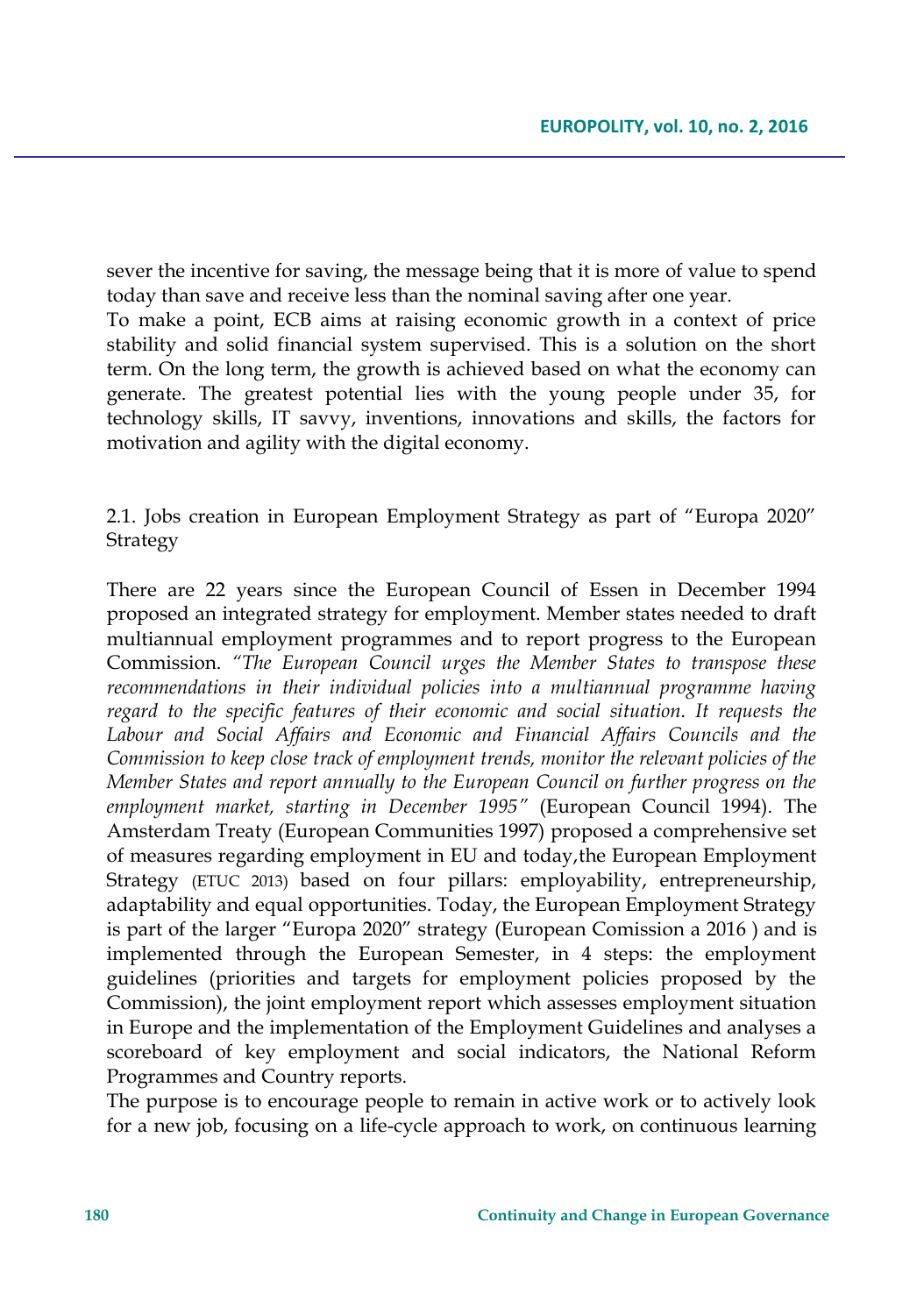sever the incentive for saving, the message being that it is more of value to spend today than save and receive less than the nominal saving after one year.

To make a point, ECB aims at raising economic growth in a context of price stability and solid financial system supervised. This is a solution on the short term. On the long term, the growth is achieved based on what the economy can generate. The greatest potential lies with the young people under 35, for technology skills, IT savvy, inventions, innovations and skills, the factors for motivation and agility with the digital economy.

2.1. Jobs creation in European Employment Strategy as part of "Europa 2020" Strategy

There are 22 years since the European Council of Essen in December 1994 proposed an integrated strategy for employment. Member states needed to draft multiannual employment programmes and to report progress to the European Commission. *"The European Council urges the Member States to transpose these recommendations in their individual policies into a multiannual programme having regard to the specific features of their economic and social situation. It requests the Labour and Social Affairs and Economic and Financial Affairs Councils and the Commission to keep close track of employment trends, monitor the relevant policies of the Member States and report annually to the European Council on further progress on the employment market, starting in December 1995"* (European Council 1994). The Amsterdam Treaty (European Communities 1997) proposed a comprehensive set of measures regarding employment in EU and today,the European Employment Strategy (ETUC 2013) based on four pillars: employability, entrepreneurship, adaptability and equal opportunities. Today, the European Employment Strategy is part of the larger "Europa 2020" strategy (European Comission a 2016 ) and is implemented through the European Semester, in 4 steps: the employment guidelines (priorities and targets for employment policies proposed by the Commission), the joint employment report which assesses employment situation in Europe and the implementation of the Employment Guidelines and analyses a scoreboard of key employment and social indicators, the National Reform Programmes and Country reports.

The purpose is to encourage people to remain in active work or to actively look for a new job, focusing on a life-cycle approach to work, on continuous learning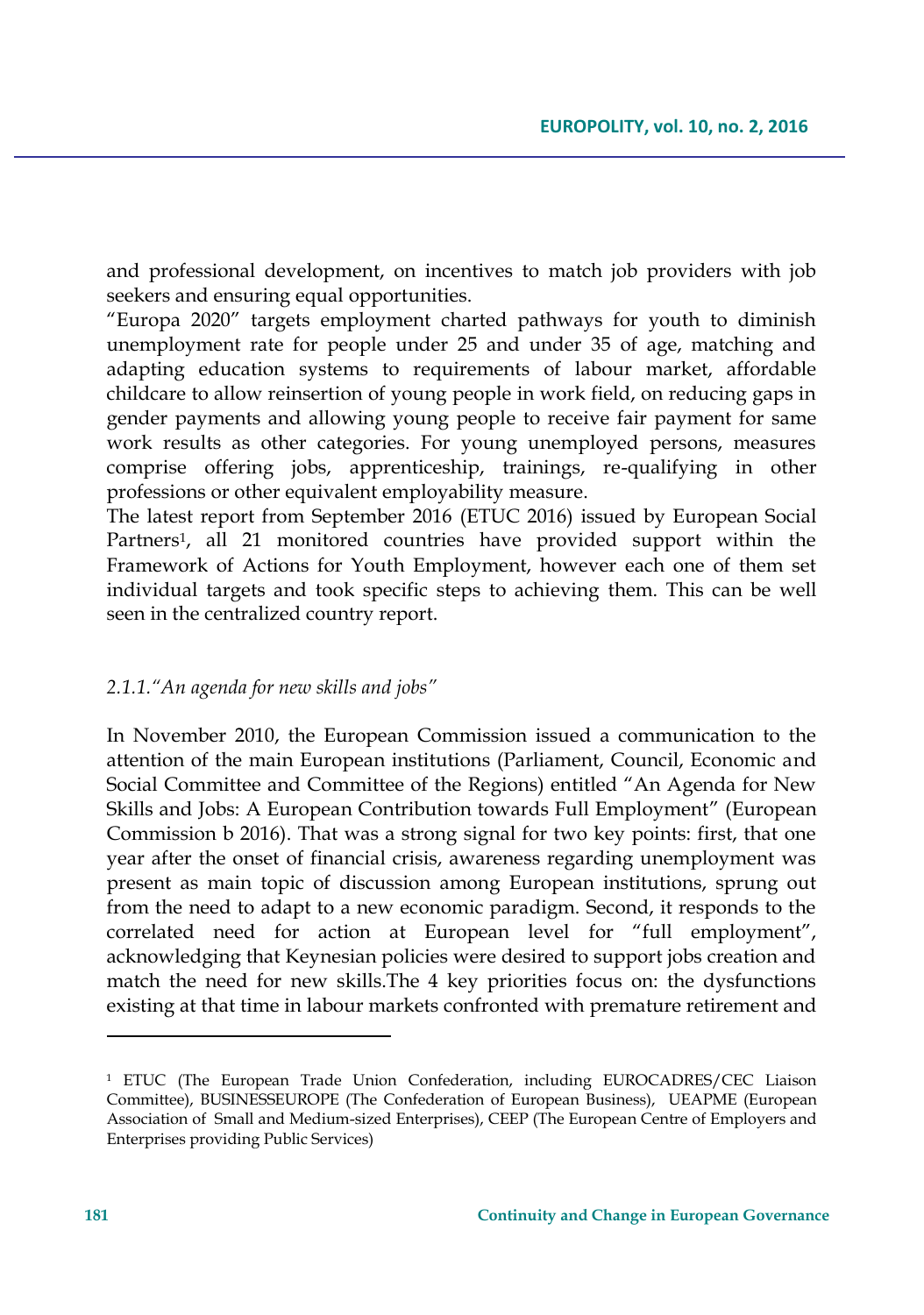and professional development, on incentives to match job providers with job seekers and ensuring equal opportunities.

"Europa 2020" targets employment charted pathways for youth to diminish unemployment rate for people under 25 and under 35 of age, matching and adapting education systems to requirements of labour market, affordable childcare to allow reinsertion of young people in work field, on reducing gaps in gender payments and allowing young people to receive fair payment for same work results as other categories. For young unemployed persons, measures comprise offering jobs, apprenticeship, trainings, re-qualifying in other professions or other equivalent employability measure.

The latest report from September 2016 (ETUC 2016) issued by European Social Partners<sup>1</sup> , all 21 monitored countries have provided support within the Framework of Actions for Youth Employment, however each one of them set individual targets and took specific steps to achieving them. This can be well seen in the centralized country report.

## *2.1.1."An agenda for new skills and jobs"*

In November 2010, the European Commission issued a communication to the attention of the main European institutions (Parliament, Council, Economic and Social Committee and Committee of the Regions) entitled "An Agenda for New Skills and Jobs: A European Contribution towards Full Employment" (European Commission b 2016). That was a strong signal for two key points: first, that one year after the onset of financial crisis, awareness regarding unemployment was present as main topic of discussion among European institutions, sprung out from the need to adapt to a new economic paradigm. Second, it responds to the correlated need for action at European level for "full employment", acknowledging that Keynesian policies were desired to support jobs creation and match the need for new skills.The 4 key priorities focus on: the dysfunctions existing at that time in labour markets confronted with premature retirement and

<sup>&</sup>lt;sup>1</sup> ETUC (The European Trade Union Confederation, including EUROCADRES/CEC Liaison Committee), BUSINESSEUROPE (The Confederation of European Business), UEAPME (European Association of Small and Medium-sized Enterprises), CEEP (The European Centre of Employers and Enterprises providing Public Services)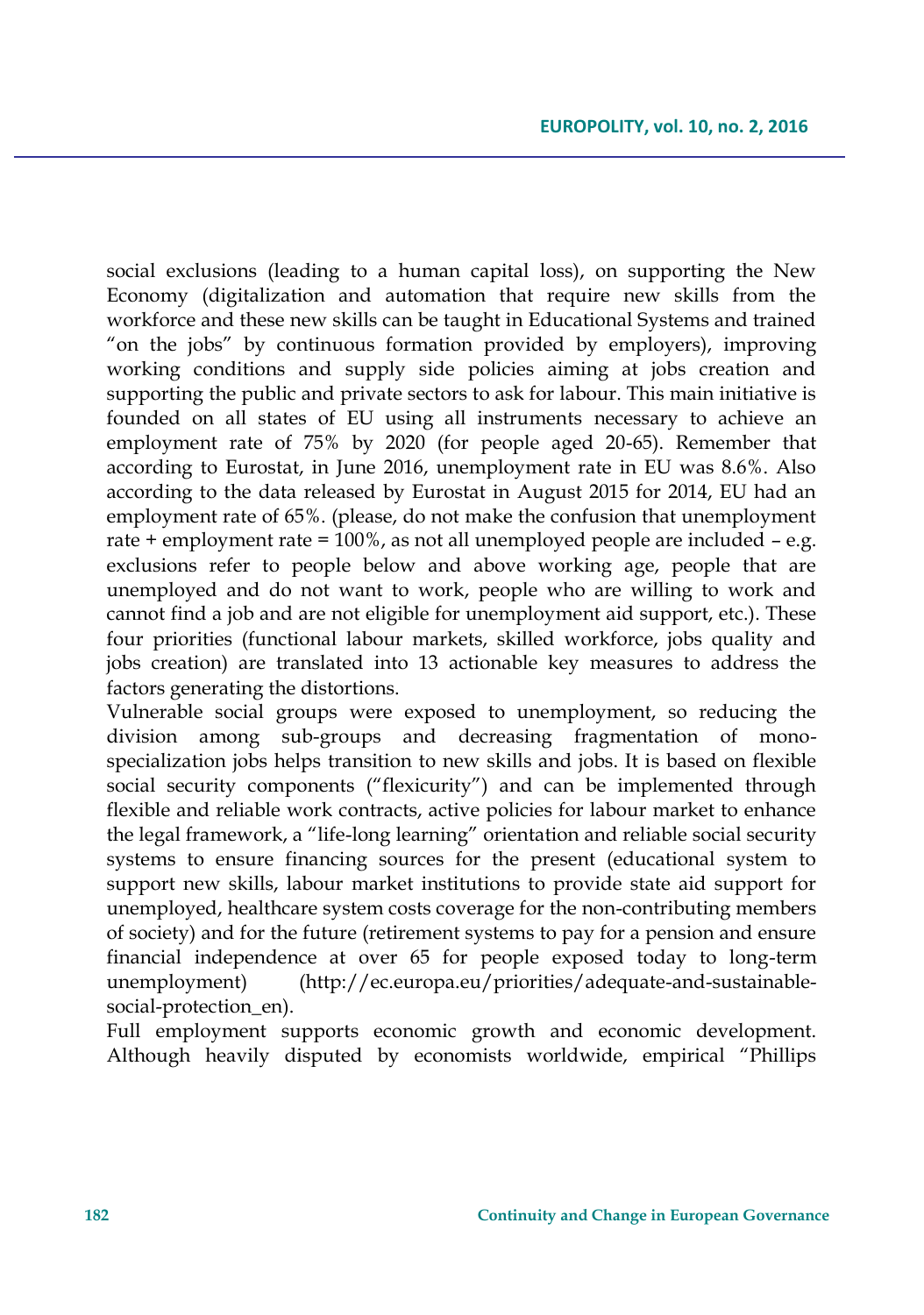social exclusions (leading to a human capital loss), on supporting the New Economy (digitalization and automation that require new skills from the workforce and these new skills can be taught in Educational Systems and trained "on the jobs" by continuous formation provided by employers), improving working conditions and supply side policies aiming at jobs creation and supporting the public and private sectors to ask for labour. This main initiative is founded on all states of EU using all instruments necessary to achieve an employment rate of 75% by 2020 (for people aged 20-65). Remember that according to Eurostat, in June 2016, unemployment rate in EU was 8.6%. Also according to the data released by Eurostat in August 2015 for 2014, EU had an employment rate of 65%. (please, do not make the confusion that unemployment rate + employment rate = 100%, as not all unemployed people are included – e.g. exclusions refer to people below and above working age, people that are unemployed and do not want to work, people who are willing to work and cannot find a job and are not eligible for unemployment aid support, etc.). These four priorities (functional labour markets, skilled workforce, jobs quality and jobs creation) are translated into 13 actionable key measures to address the factors generating the distortions.

Vulnerable social groups were exposed to unemployment, so reducing the division among sub-groups and decreasing fragmentation of monospecialization jobs helps transition to new skills and jobs. It is based on flexible social security components ("flexicurity") and can be implemented through flexible and reliable work contracts, active policies for labour market to enhance the legal framework, a "life-long learning" orientation and reliable social security systems to ensure financing sources for the present (educational system to support new skills, labour market institutions to provide state aid support for unemployed, healthcare system costs coverage for the non-contributing members of society) and for the future (retirement systems to pay for a pension and ensure financial independence at over 65 for people exposed today to long-term unemployment) (http://ec.europa.eu/priorities/adequate-and-sustainablesocial-protection en).

Full employment supports economic growth and economic development. Although heavily disputed by economists worldwide, empirical "Phillips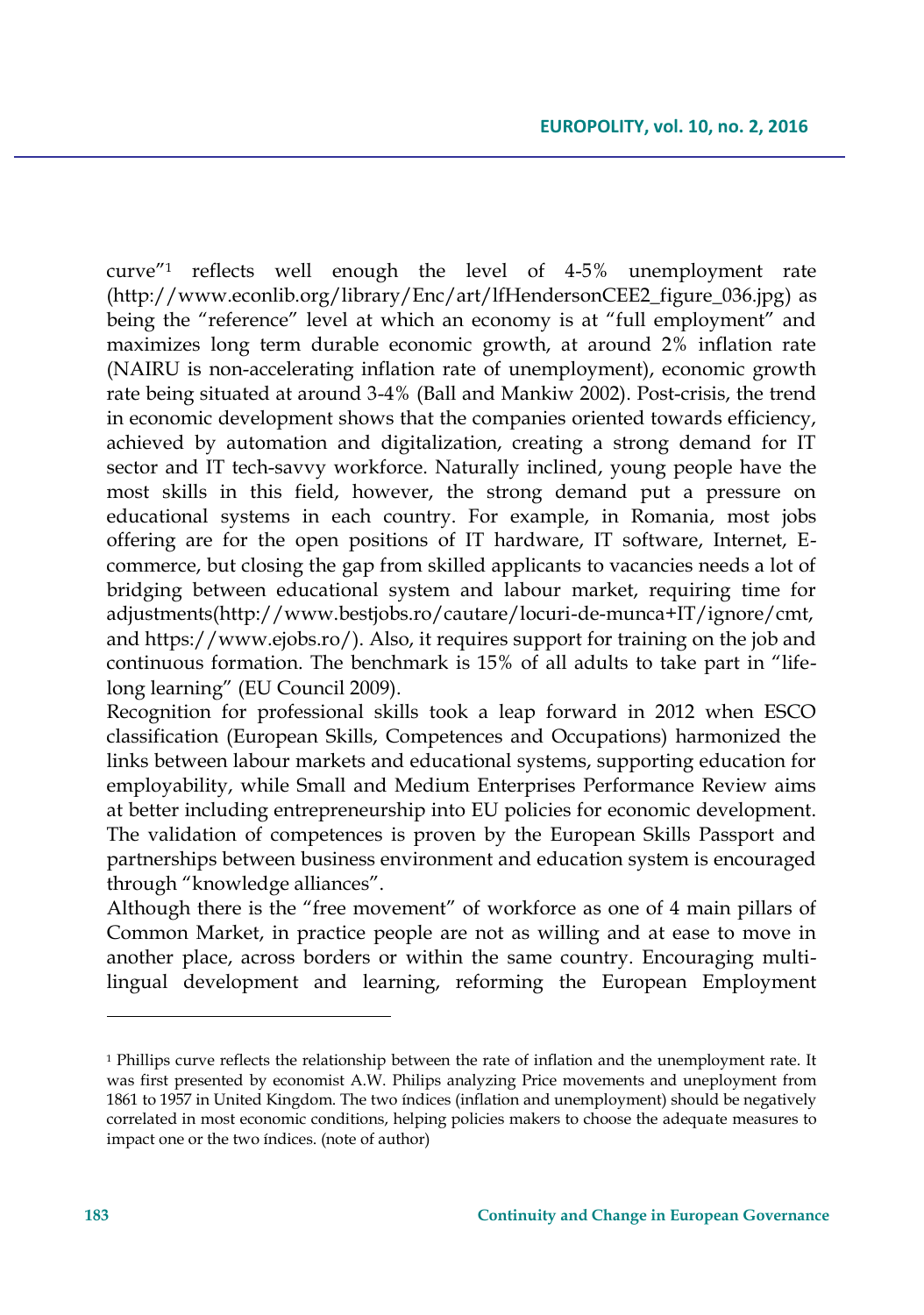curve"<sup>1</sup> reflects well enough the level of 4-5% unemployment rate (http://www.econlib.org/library/Enc/art/lfHendersonCEE2\_figure\_036.jpg) as being the "reference" level at which an economy is at "full employment" and maximizes long term durable economic growth, at around 2% inflation rate (NAIRU is non-accelerating inflation rate of unemployment), economic growth rate being situated at around 3-4% (Ball and Mankiw 2002). Post-crisis, the trend in economic development shows that the companies oriented towards efficiency, achieved by automation and digitalization, creating a strong demand for IT sector and IT tech-savvy workforce. Naturally inclined, young people have the most skills in this field, however, the strong demand put a pressure on educational systems in each country. For example, in Romania, most jobs offering are for the open positions of IT hardware, IT software, Internet, Ecommerce, but closing the gap from skilled applicants to vacancies needs a lot of bridging between educational system and labour market, requiring time for adjustments(http://www.bestjobs.ro/cautare/locuri-de-munca+IT/ignore/cmt, and https://www.ejobs.ro/). Also, it requires support for training on the job and continuous formation. The benchmark is 15% of all adults to take part in "lifelong learning" (EU Council 2009).

Recognition for professional skills took a leap forward in 2012 when ESCO classification (European Skills, Competences and Occupations) harmonized the links between labour markets and educational systems, supporting education for employability, while Small and Medium Enterprises Performance Review aims at better including entrepreneurship into EU policies for economic development. The validation of competences is proven by the European Skills Passport and partnerships between business environment and education system is encouraged through "knowledge alliances".

Although there is the "free movement" of workforce as one of 4 main pillars of Common Market, in practice people are not as willing and at ease to move in another place, across borders or within the same country. Encouraging multilingual development and learning, reforming the European Employment

 $\overline{\phantom{a}}$ 

<sup>&</sup>lt;sup>1</sup> Phillips curve reflects the relationship between the rate of inflation and the unemployment rate. It was first presented by economist A.W. Philips analyzing Price movements and uneployment from 1861 to 1957 in United Kingdom. The two índices (inflation and unemployment) should be negatively correlated in most economic conditions, helping policies makers to choose the adequate measures to impact one or the two índices. (note of author)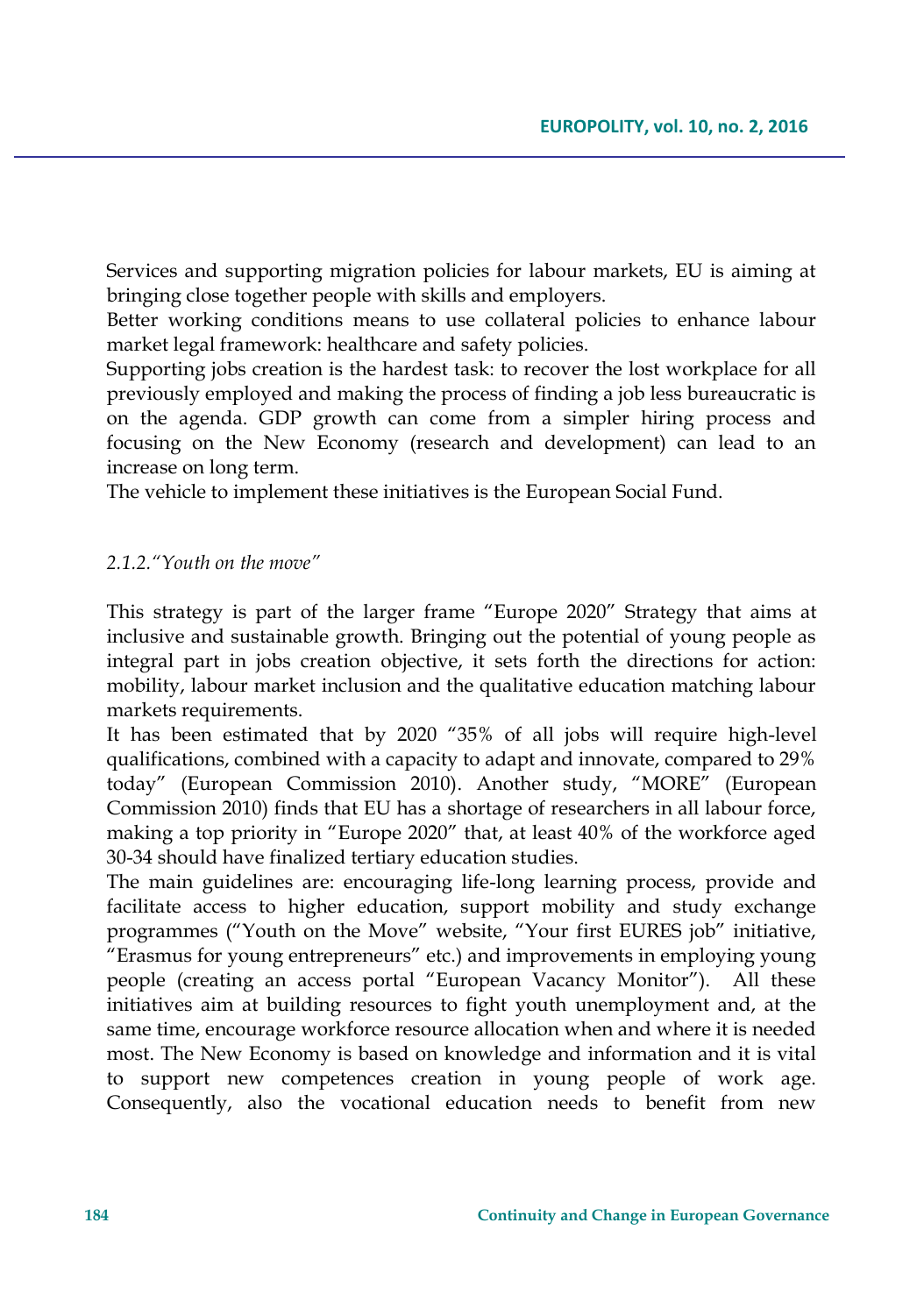Services and supporting migration policies for labour markets, EU is aiming at bringing close together people with skills and employers.

Better working conditions means to use collateral policies to enhance labour market legal framework: healthcare and safety policies.

Supporting jobs creation is the hardest task: to recover the lost workplace for all previously employed and making the process of finding a job less bureaucratic is on the agenda. GDP growth can come from a simpler hiring process and focusing on the New Economy (research and development) can lead to an increase on long term.

The vehicle to implement these initiatives is the European Social Fund.

#### *2.1.2."Youth on the move"*

This strategy is part of the larger frame "Europe 2020" Strategy that aims at inclusive and sustainable growth. Bringing out the potential of young people as integral part in jobs creation objective, it sets forth the directions for action: mobility, labour market inclusion and the qualitative education matching labour markets requirements.

It has been estimated that by 2020 "35% of all jobs will require high-level qualifications, combined with a capacity to adapt and innovate, compared to 29% today" (European Commission 2010). Another study, "MORE" (European Commission 2010) finds that EU has a shortage of researchers in all labour force, making a top priority in "Europe 2020" that, at least 40% of the workforce aged 30-34 should have finalized tertiary education studies.

The main guidelines are: encouraging life-long learning process, provide and facilitate access to higher education, support mobility and study exchange programmes ("Youth on the Move" website, "Your first EURES job" initiative, "Erasmus for young entrepreneurs" etc.) and improvements in employing young people (creating an access portal "European Vacancy Monitor"). All these initiatives aim at building resources to fight youth unemployment and, at the same time, encourage workforce resource allocation when and where it is needed most. The New Economy is based on knowledge and information and it is vital to support new competences creation in young people of work age. Consequently, also the vocational education needs to benefit from new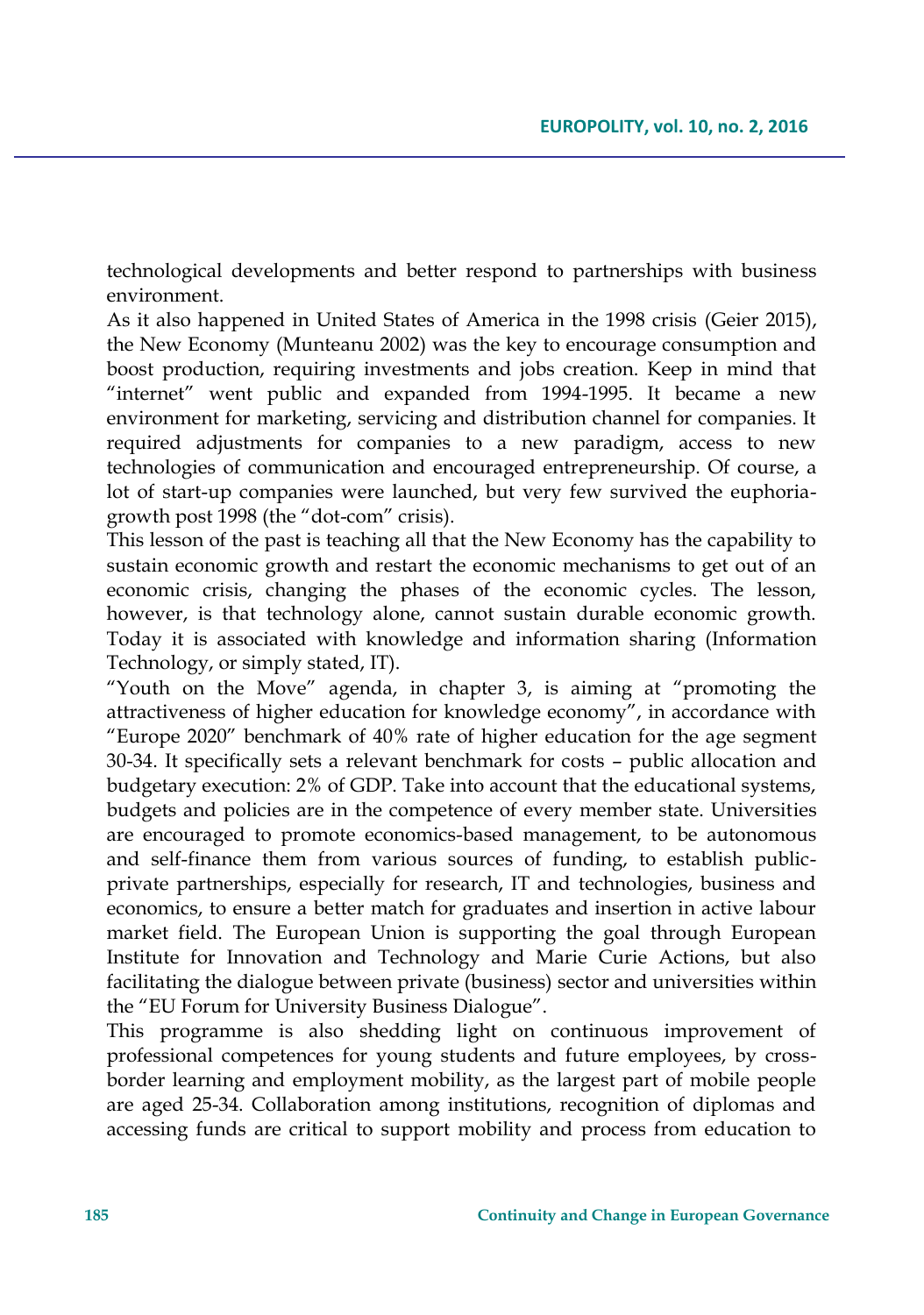technological developments and better respond to partnerships with business environment.

As it also happened in United States of America in the 1998 crisis (Geier 2015), the New Economy (Munteanu 2002) was the key to encourage consumption and boost production, requiring investments and jobs creation. Keep in mind that "internet" went public and expanded from 1994-1995. It became a new environment for marketing, servicing and distribution channel for companies. It required adjustments for companies to a new paradigm, access to new technologies of communication and encouraged entrepreneurship. Of course, a lot of start-up companies were launched, but very few survived the euphoriagrowth post 1998 (the "dot-com" crisis).

This lesson of the past is teaching all that the New Economy has the capability to sustain economic growth and restart the economic mechanisms to get out of an economic crisis, changing the phases of the economic cycles. The lesson, however, is that technology alone, cannot sustain durable economic growth. Today it is associated with knowledge and information sharing (Information Technology, or simply stated, IT).

"Youth on the Move" agenda, in chapter 3, is aiming at "promoting the attractiveness of higher education for knowledge economy", in accordance with "Europe 2020" benchmark of 40% rate of higher education for the age segment 30-34. It specifically sets a relevant benchmark for costs – public allocation and budgetary execution: 2% of GDP. Take into account that the educational systems, budgets and policies are in the competence of every member state. Universities are encouraged to promote economics-based management, to be autonomous and self-finance them from various sources of funding, to establish publicprivate partnerships, especially for research, IT and technologies, business and economics, to ensure a better match for graduates and insertion in active labour market field. The European Union is supporting the goal through European Institute for Innovation and Technology and Marie Curie Actions, but also facilitating the dialogue between private (business) sector and universities within the "EU Forum for University Business Dialogue".

This programme is also shedding light on continuous improvement of professional competences for young students and future employees, by crossborder learning and employment mobility, as the largest part of mobile people are aged 25-34. Collaboration among institutions, recognition of diplomas and accessing funds are critical to support mobility and process from education to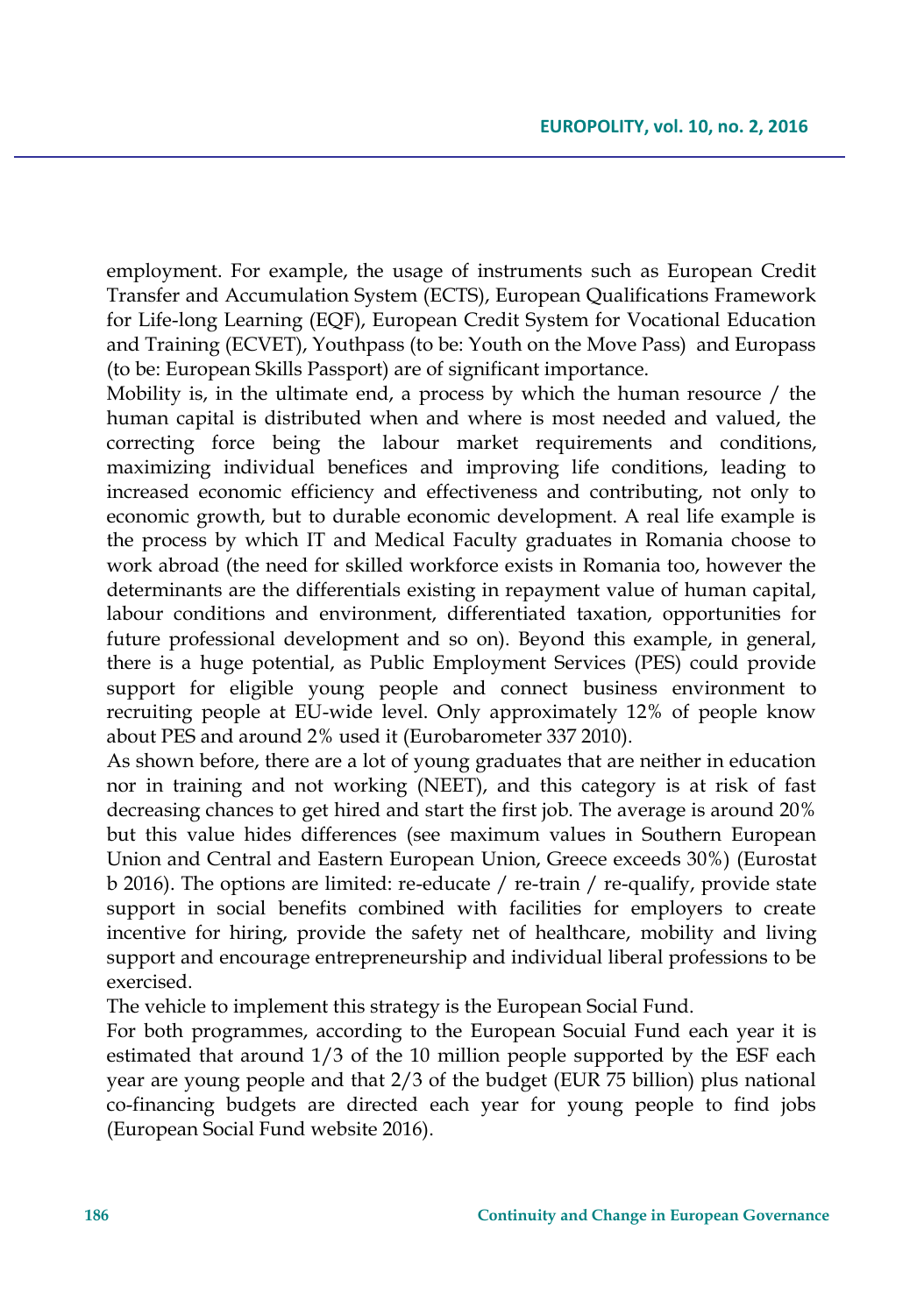employment. For example, the usage of instruments such as European Credit Transfer and Accumulation System (ECTS), European Qualifications Framework for Life-long Learning (EQF), European Credit System for Vocational Education and Training (ECVET), Youthpass (to be: Youth on the Move Pass) and Europass (to be: European Skills Passport) are of significant importance.

Mobility is, in the ultimate end, a process by which the human resource / the human capital is distributed when and where is most needed and valued, the correcting force being the labour market requirements and conditions, maximizing individual benefices and improving life conditions, leading to increased economic efficiency and effectiveness and contributing, not only to economic growth, but to durable economic development. A real life example is the process by which IT and Medical Faculty graduates in Romania choose to work abroad (the need for skilled workforce exists in Romania too, however the determinants are the differentials existing in repayment value of human capital, labour conditions and environment, differentiated taxation, opportunities for future professional development and so on). Beyond this example, in general, there is a huge potential, as Public Employment Services (PES) could provide support for eligible young people and connect business environment to recruiting people at EU-wide level. Only approximately 12% of people know about PES and around 2% used it (Eurobarometer 337 2010).

As shown before, there are a lot of young graduates that are neither in education nor in training and not working (NEET), and this category is at risk of fast decreasing chances to get hired and start the first job. The average is around 20% but this value hides differences (see maximum values in Southern European Union and Central and Eastern European Union, Greece exceeds 30%) (Eurostat b 2016). The options are limited: re-educate / re-train / re-qualify, provide state support in social benefits combined with facilities for employers to create incentive for hiring, provide the safety net of healthcare, mobility and living support and encourage entrepreneurship and individual liberal professions to be exercised.

The vehicle to implement this strategy is the European Social Fund.

For both programmes, according to the European Socuial Fund each year it is estimated that around 1/3 of the 10 million people supported by the ESF each year are young people and that 2/3 of the budget (EUR 75 billion) plus national co-financing budgets are directed each year for young people to find jobs (European Social Fund website 2016).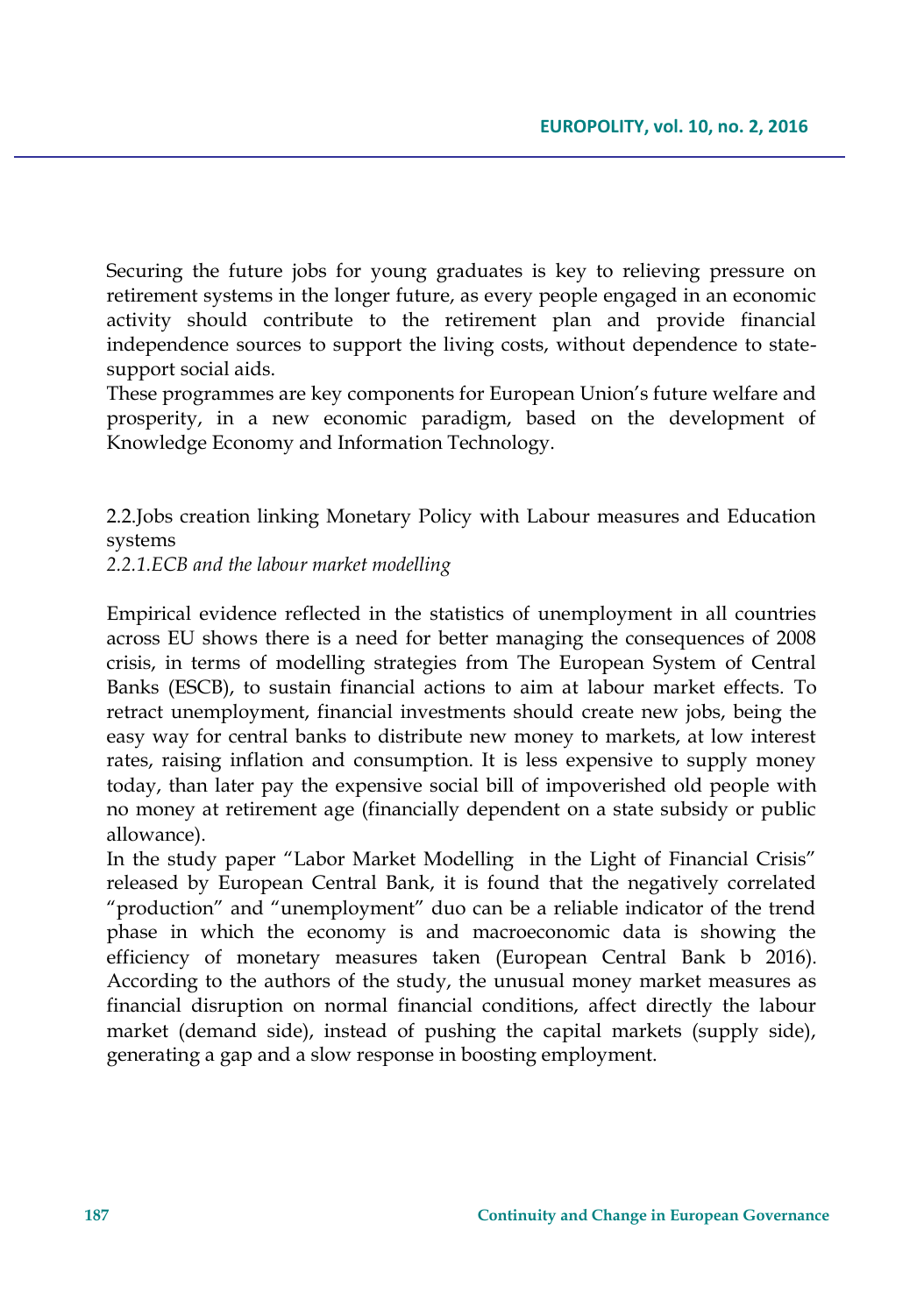Securing the future jobs for young graduates is key to relieving pressure on retirement systems in the longer future, as every people engaged in an economic activity should contribute to the retirement plan and provide financial independence sources to support the living costs, without dependence to statesupport social aids.

These programmes are key components for European Union's future welfare and prosperity, in a new economic paradigm, based on the development of Knowledge Economy and Information Technology.

2.2.Jobs creation linking Monetary Policy with Labour measures and Education systems

*2.2.1.ECB and the labour market modelling*

Empirical evidence reflected in the statistics of unemployment in all countries across EU shows there is a need for better managing the consequences of 2008 crisis, in terms of modelling strategies from The European System of Central Banks (ESCB), to sustain financial actions to aim at labour market effects. To retract unemployment, financial investments should create new jobs, being the easy way for central banks to distribute new money to markets, at low interest rates, raising inflation and consumption. It is less expensive to supply money today, than later pay the expensive social bill of impoverished old people with no money at retirement age (financially dependent on a state subsidy or public allowance).

In the study paper "Labor Market Modelling in the Light of Financial Crisis" released by European Central Bank, it is found that the negatively correlated "production" and "unemployment" duo can be a reliable indicator of the trend phase in which the economy is and macroeconomic data is showing the efficiency of monetary measures taken (European Central Bank b 2016). According to the authors of the study, the unusual money market measures as financial disruption on normal financial conditions, affect directly the labour market (demand side), instead of pushing the capital markets (supply side), generating a gap and a slow response in boosting employment.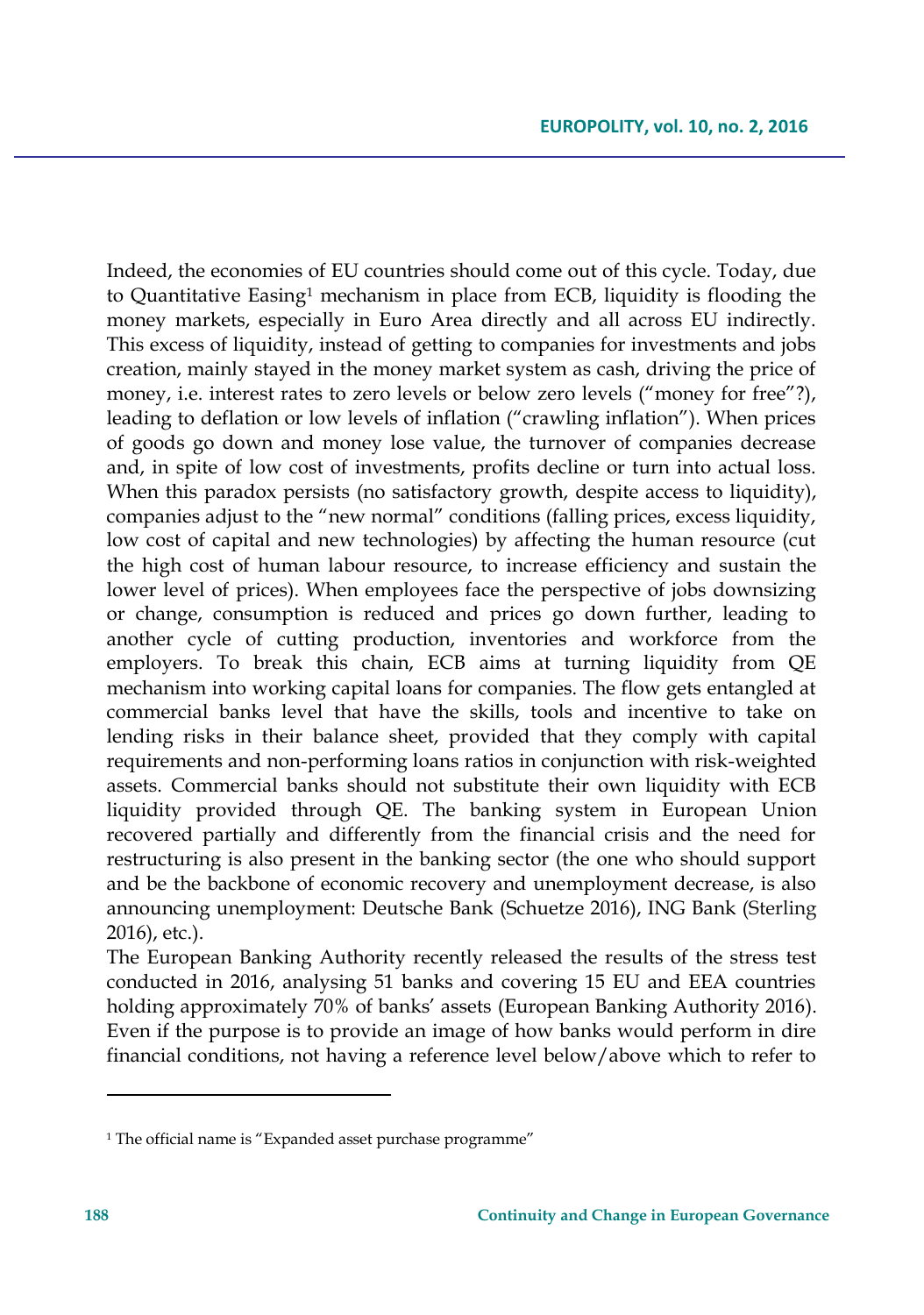Indeed, the economies of EU countries should come out of this cycle. Today, due to Quantitative Easing<sup>1</sup> mechanism in place from ECB, liquidity is flooding the money markets, especially in Euro Area directly and all across EU indirectly. This excess of liquidity, instead of getting to companies for investments and jobs creation, mainly stayed in the money market system as cash, driving the price of money, i.e. interest rates to zero levels or below zero levels ("money for free"?), leading to deflation or low levels of inflation ("crawling inflation"). When prices of goods go down and money lose value, the turnover of companies decrease and, in spite of low cost of investments, profits decline or turn into actual loss. When this paradox persists (no satisfactory growth, despite access to liquidity), companies adjust to the "new normal" conditions (falling prices, excess liquidity, low cost of capital and new technologies) by affecting the human resource (cut the high cost of human labour resource, to increase efficiency and sustain the lower level of prices). When employees face the perspective of jobs downsizing or change, consumption is reduced and prices go down further, leading to another cycle of cutting production, inventories and workforce from the employers. To break this chain, ECB aims at turning liquidity from QE mechanism into working capital loans for companies. The flow gets entangled at commercial banks level that have the skills, tools and incentive to take on lending risks in their balance sheet, provided that they comply with capital requirements and non-performing loans ratios in conjunction with risk-weighted assets. Commercial banks should not substitute their own liquidity with ECB liquidity provided through QE. The banking system in European Union recovered partially and differently from the financial crisis and the need for restructuring is also present in the banking sector (the one who should support and be the backbone of economic recovery and unemployment decrease, is also announcing unemployment: Deutsche Bank [\(Schuetze](http://www.reuters.com/journalists/arno-schuetze) 2016), ING Bank [\(Sterling](http://www.reuters.com/journalists/toby-sterling) 2016), etc.).

The European Banking Authority recently released the results of the stress test conducted in 2016, analysing 51 banks and covering 15 EU and EEA countries holding approximately 70% of banks' assets (European Banking Authority 2016). Even if the purpose is to provide an image of how banks would perform in dire financial conditions, not having a reference level below/above which to refer to

 $\overline{\phantom{a}}$ 

<sup>&</sup>lt;sup>1</sup> The official name is "Expanded asset purchase programme"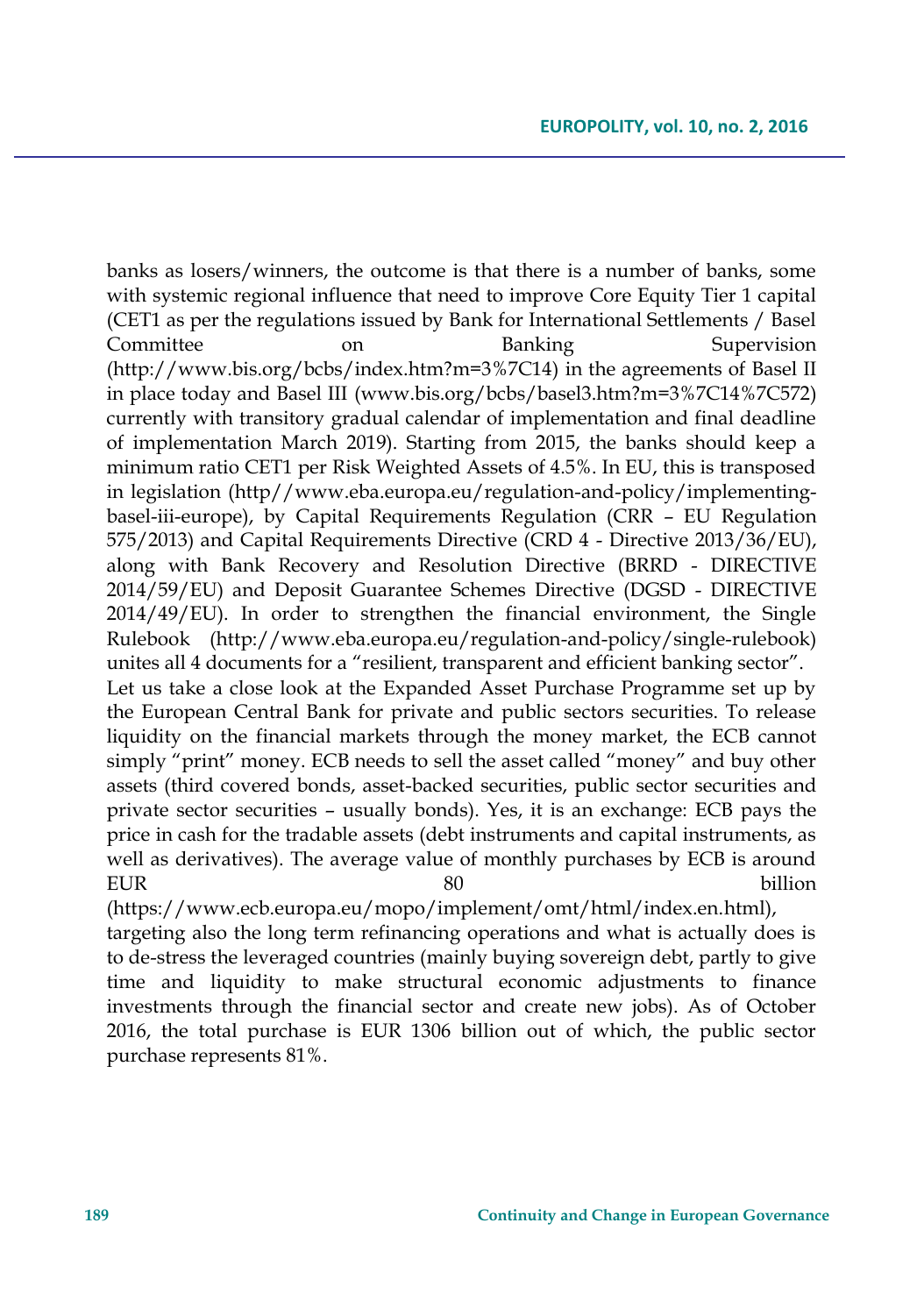banks as losers/winners, the outcome is that there is a number of banks, some with systemic regional influence that need to improve Core Equity Tier 1 capital (CET1 as per the regulations issued by Bank for International Settlements / Basel Committee on Banking Supervision (http://www.bis.org/bcbs/index.htm?m=3%7C14) in the agreements of Basel II in place today and Basel III (www.bis.org/bcbs/basel3.htm?m=3%7C14%7C572) currently with transitory gradual calendar of implementation and final deadline of implementation March 2019). Starting from 2015, the banks should keep a minimum ratio CET1 per Risk Weighted Assets of 4.5%. In EU, this is transposed in legislation (http//www.eba.europa.eu/regulation-and-policy/implementingbasel-iii-europe), by Capital Requirements Regulation (CRR – EU Regulation 575/2013) and Capital Requirements Directive (CRD 4 - Directive 2013/36/EU), along with Bank Recovery and Resolution Directive (BRRD - DIRECTIVE 2014/59/EU) and Deposit Guarantee Schemes Directive (DGSD - DIRECTIVE 2014/49/EU). In order to strengthen the financial environment, the Single Rulebook (http://www.eba.europa.eu/regulation-and-policy/single-rulebook) unites all 4 documents for a "resilient, transparent and efficient banking sector". Let us take a close look at the Expanded Asset Purchase Programme set up by the European Central Bank for private and public sectors securities. To release liquidity on the financial markets through the money market, the ECB cannot simply "print" money. ECB needs to sell the asset called "money" and buy other assets (third covered bonds, asset-backed securities, public sector securities and private sector securities – usually bonds). Yes, it is an exchange: ECB pays the price in cash for the tradable assets (debt instruments and capital instruments, as well as derivatives). The average value of monthly purchases by ECB is around

EUR 80 billion

(https://www.ecb.europa.eu/mopo/implement/omt/html/index.en.html), targeting also the long term refinancing operations and what is actually does is to de-stress the leveraged countries (mainly buying sovereign debt, partly to give time and liquidity to make structural economic adjustments to finance investments through the financial sector and create new jobs). As of October 2016, the total purchase is EUR 1306 billion out of which, the public sector purchase represents 81%.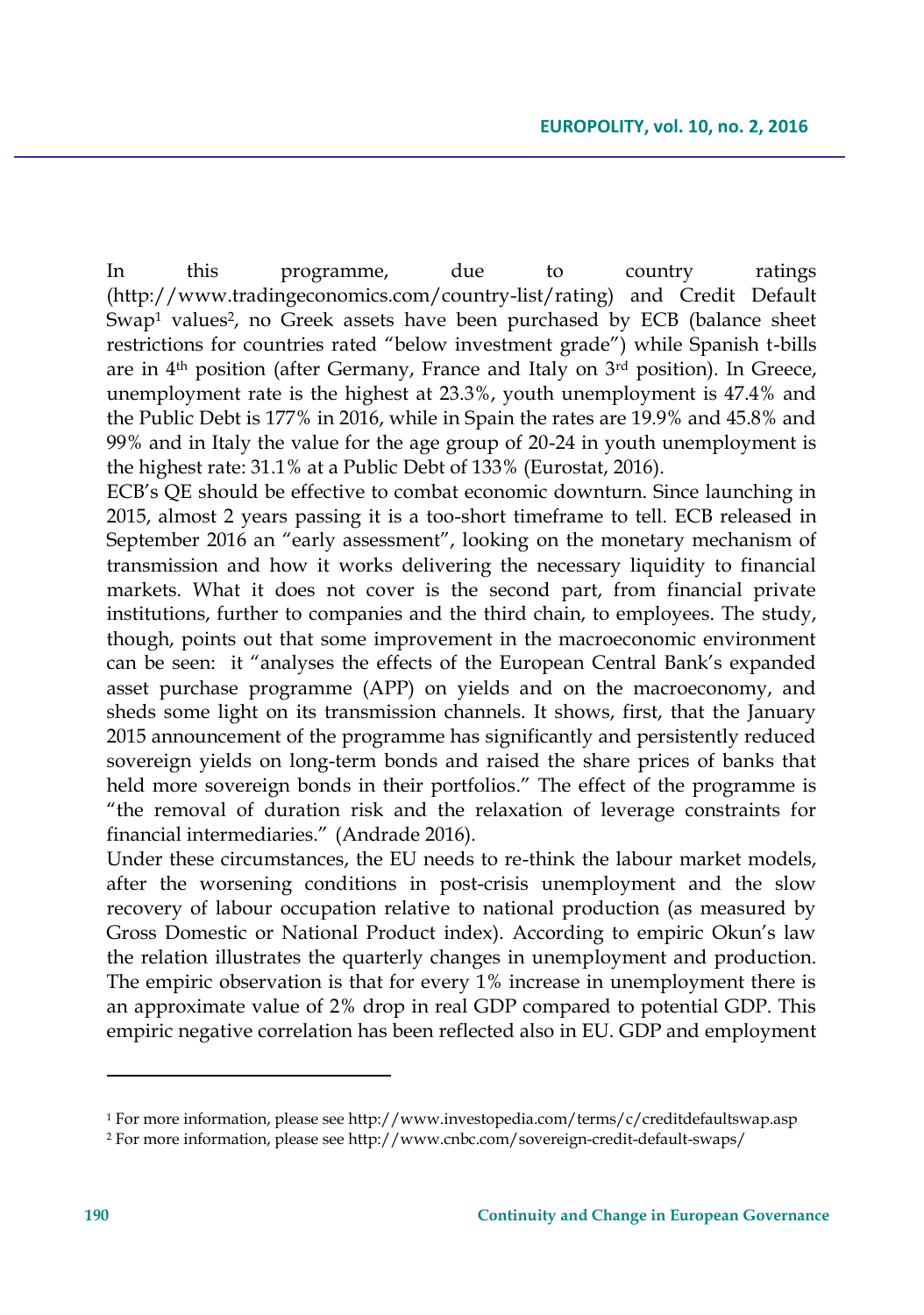In this programme, due to country ratings (http://www.tradingeconomics.com/country-list/rating) and Credit Default Swap<sup>1</sup> values<sup>2</sup>, no Greek assets have been purchased by ECB (balance sheet restrictions for countries rated "below investment grade") while Spanish t-bills are in 4th position (after Germany, France and Italy on 3rd position). In Greece, unemployment rate is the highest at 23.3%, youth unemployment is 47.4% and the Public Debt is 177% in 2016, while in Spain the rates are 19.9% and 45.8% and 99% and in Italy the value for the age group of 20-24 in youth unemployment is the highest rate: 31.1% at a Public Debt of 133% (Eurostat, 2016).

ECB's QE should be effective to combat economic downturn. Since launching in 2015, almost 2 years passing it is a too-short timeframe to tell. ECB released in September 2016 an "early assessment", looking on the monetary mechanism of transmission and how it works delivering the necessary liquidity to financial markets. What it does not cover is the second part, from financial private institutions, further to companies and the third chain, to employees. The study, though, points out that some improvement in the macroeconomic environment can be seen: it "analyses the effects of the European Central Bank's expanded asset purchase programme (APP) on yields and on the macroeconomy, and sheds some light on its transmission channels. It shows, first, that the January 2015 announcement of the programme has significantly and persistently reduced sovereign yields on long-term bonds and raised the share prices of banks that held more sovereign bonds in their portfolios." The effect of the programme is "the removal of duration risk and the relaxation of leverage constraints for financial intermediaries." (Andrade 2016).

Under these circumstances, the EU needs to re-think the labour market models, after the worsening conditions in post-crisis unemployment and the slow recovery of labour occupation relative to national production (as measured by Gross Domestic or National Product index). According to empiric Okun's law the relation illustrates the quarterly changes in unemployment and production. The empiric observation is that for every 1% increase in unemployment there is an approximate value of 2% drop in real GDP compared to potential GDP. This empiric negative correlation has been reflected also in EU. GDP and employment

<sup>&</sup>lt;sup>1</sup> For more information, please see http://www.investopedia.com/terms/c/creditdefaultswap.asp

<sup>2</sup> For more information, please see http://www.cnbc.com/sovereign-credit-default-swaps/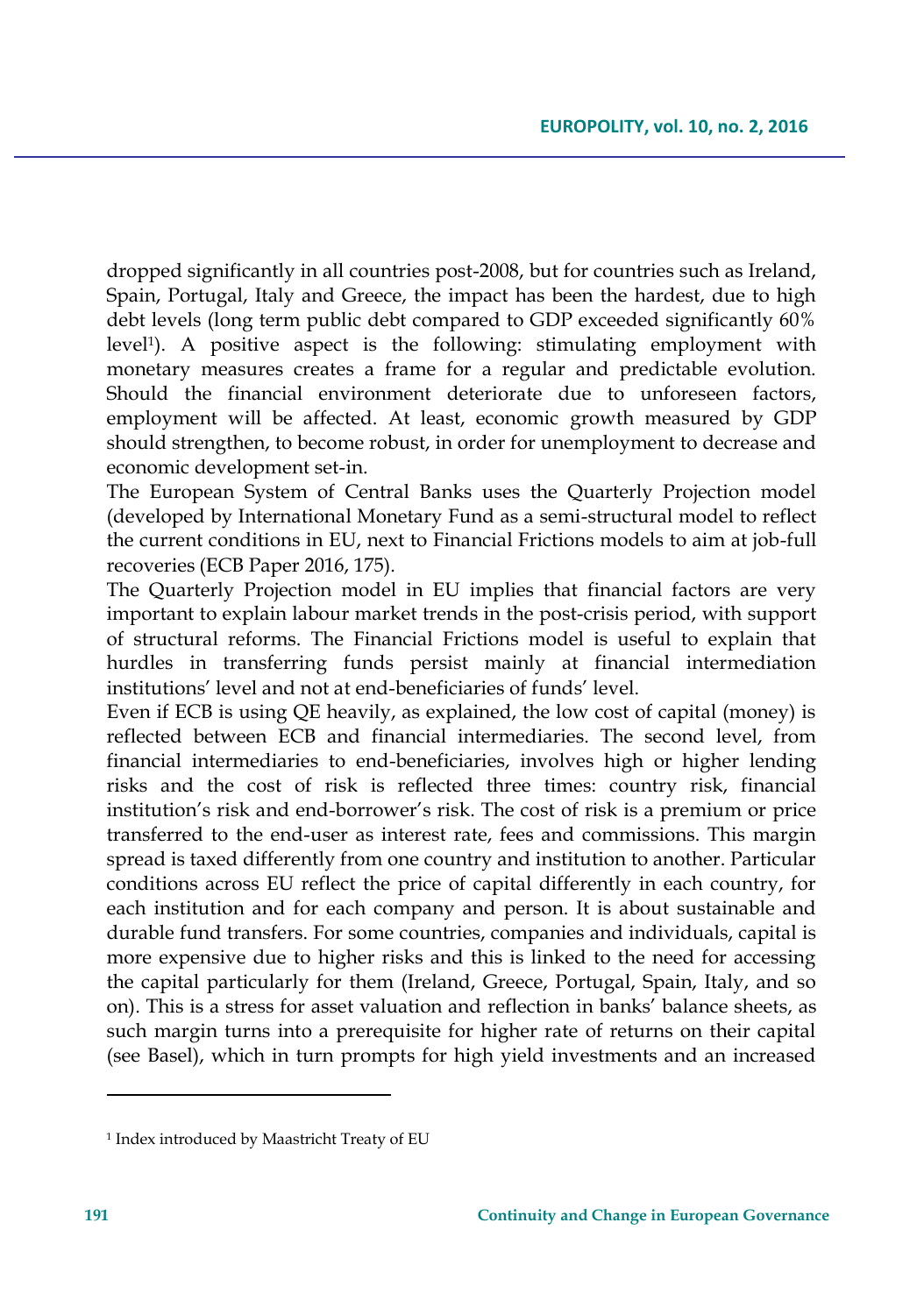dropped significantly in all countries post-2008, but for countries such as Ireland, Spain, Portugal, Italy and Greece, the impact has been the hardest, due to high debt levels (long term public debt compared to GDP exceeded significantly 60% level<sup>1</sup> ). A positive aspect is the following: stimulating employment with monetary measures creates a frame for a regular and predictable evolution. Should the financial environment deteriorate due to unforeseen factors, employment will be affected. At least, economic growth measured by GDP should strengthen, to become robust, in order for unemployment to decrease and economic development set-in.

The European System of Central Banks uses the Quarterly Projection model (developed by International Monetary Fund as a semi-structural model to reflect the current conditions in EU, next to Financial Frictions models to aim at job-full recoveries (ECB Paper 2016, 175).

The Quarterly Projection model in EU implies that financial factors are very important to explain labour market trends in the post-crisis period, with support of structural reforms. The Financial Frictions model is useful to explain that hurdles in transferring funds persist mainly at financial intermediation institutions' level and not at end-beneficiaries of funds' level.

Even if ECB is using QE heavily, as explained, the low cost of capital (money) is reflected between ECB and financial intermediaries. The second level, from financial intermediaries to end-beneficiaries, involves high or higher lending risks and the cost of risk is reflected three times: country risk, financial institution's risk and end-borrower's risk. The cost of risk is a premium or price transferred to the end-user as interest rate, fees and commissions. This margin spread is taxed differently from one country and institution to another. Particular conditions across EU reflect the price of capital differently in each country, for each institution and for each company and person. It is about sustainable and durable fund transfers. For some countries, companies and individuals, capital is more expensive due to higher risks and this is linked to the need for accessing the capital particularly for them (Ireland, Greece, Portugal, Spain, Italy, and so on). This is a stress for asset valuation and reflection in banks' balance sheets, as such margin turns into a prerequisite for higher rate of returns on their capital (see Basel), which in turn prompts for high yield investments and an increased

 $\overline{\phantom{a}}$ 

<sup>1</sup> Index introduced by Maastricht Treaty of EU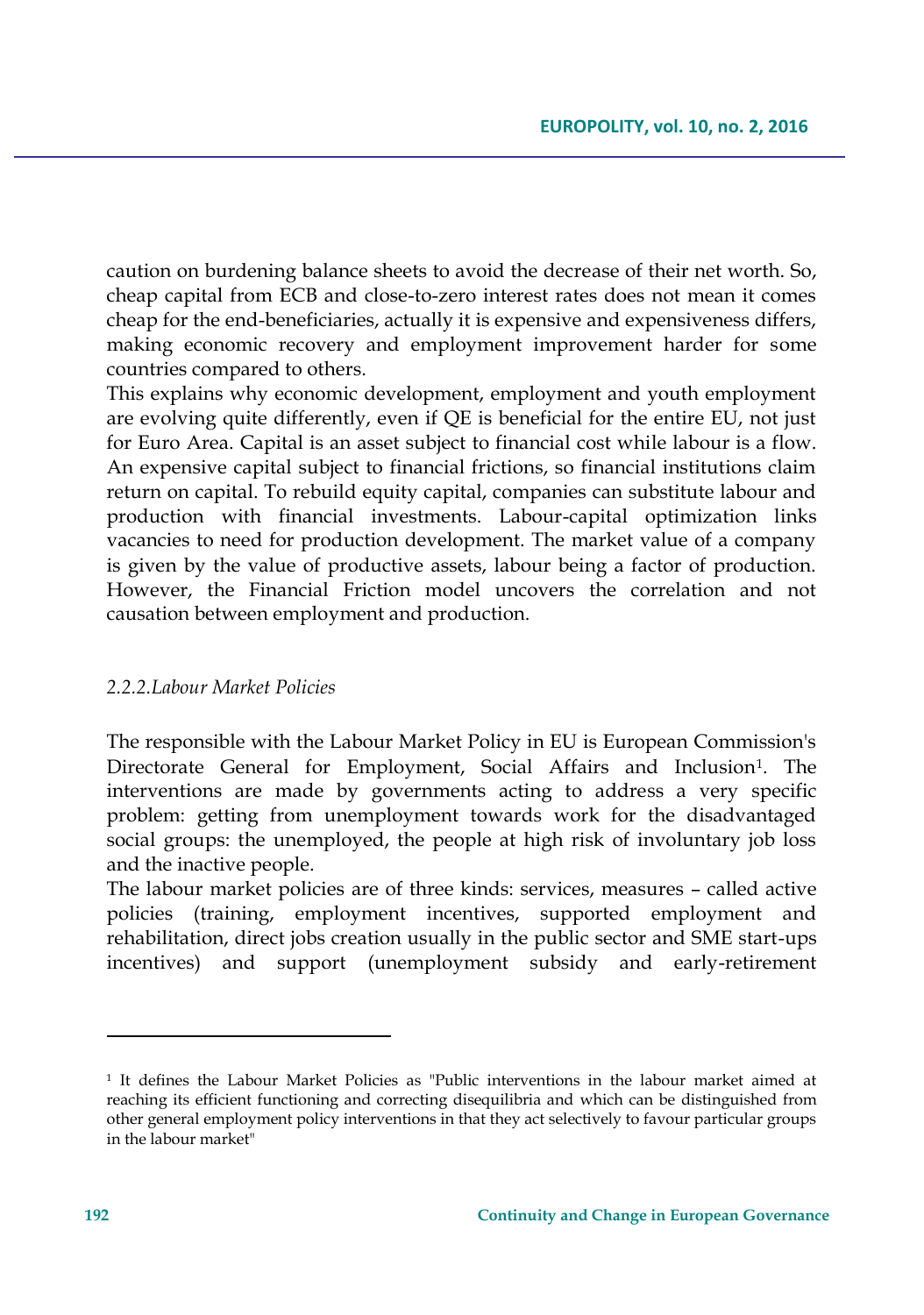caution on burdening balance sheets to avoid the decrease of their net worth. So, cheap capital from ECB and close-to-zero interest rates does not mean it comes cheap for the end-beneficiaries, actually it is expensive and expensiveness differs, making economic recovery and employment improvement harder for some countries compared to others.

This explains why economic development, employment and youth employment are evolving quite differently, even if QE is beneficial for the entire EU, not just for Euro Area. Capital is an asset subject to financial cost while labour is a flow. An expensive capital subject to financial frictions, so financial institutions claim return on capital. To rebuild equity capital, companies can substitute labour and production with financial investments. Labour-capital optimization links vacancies to need for production development. The market value of a company is given by the value of productive assets, labour being a factor of production. However, the Financial Friction model uncovers the correlation and not causation between employment and production.

## *2.2.2.Labour Market Policies*

The responsible with the Labour Market Policy in EU is European Commission's Directorate General for Employment, Social Affairs and Inclusion<sup>1</sup>. The interventions are made by governments acting to address a very specific problem: getting from unemployment towards work for the disadvantaged social groups: the unemployed, the people at high risk of involuntary job loss and the inactive people.

The labour market policies are of three kinds: services, measures – called active policies (training, employment incentives, supported employment and rehabilitation, direct jobs creation usually in the public sector and SME start-ups incentives) and support (unemployment subsidy and early-retirement

<sup>1</sup> It defines the Labour Market Policies as "Public interventions in the labour market aimed at reaching its efficient functioning and correcting disequilibria and which can be distinguished from other general employment policy interventions in that they act selectively to favour particular groups in the labour market"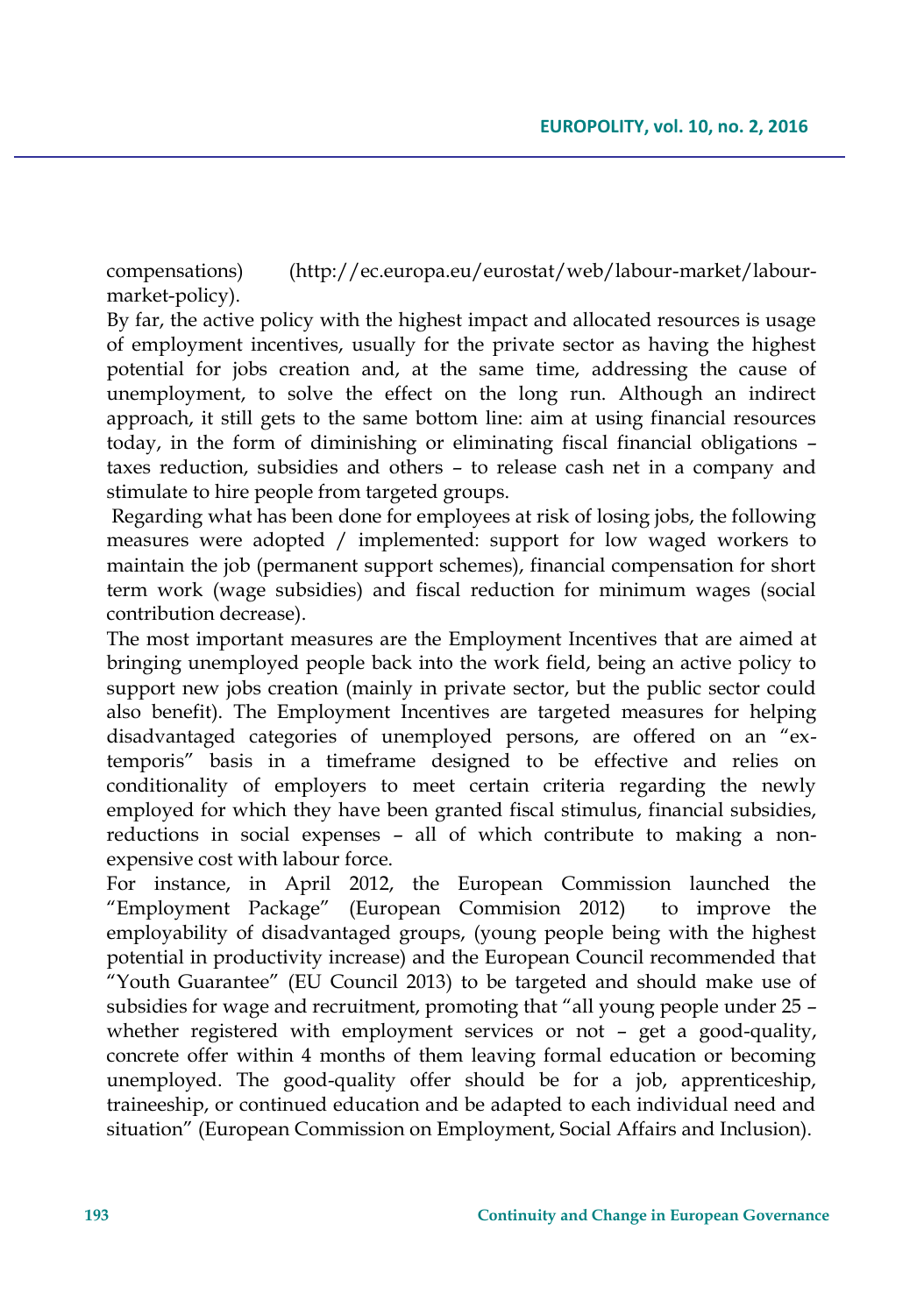compensations) (http://ec.europa.eu/eurostat/web/labour-market/labourmarket-policy).

By far, the active policy with the highest impact and allocated resources is usage of employment incentives, usually for the private sector as having the highest potential for jobs creation and, at the same time, addressing the cause of unemployment, to solve the effect on the long run. Although an indirect approach, it still gets to the same bottom line: aim at using financial resources today, in the form of diminishing or eliminating fiscal financial obligations – taxes reduction, subsidies and others – to release cash net in a company and stimulate to hire people from targeted groups.

Regarding what has been done for employees at risk of losing jobs, the following measures were adopted / implemented: support for low waged workers to maintain the job (permanent support schemes), financial compensation for short term work (wage subsidies) and fiscal reduction for minimum wages (social contribution decrease).

The most important measures are the Employment Incentives that are aimed at bringing unemployed people back into the work field, being an active policy to support new jobs creation (mainly in private sector, but the public sector could also benefit). The Employment Incentives are targeted measures for helping disadvantaged categories of unemployed persons, are offered on an "extemporis" basis in a timeframe designed to be effective and relies on conditionality of employers to meet certain criteria regarding the newly employed for which they have been granted fiscal stimulus, financial subsidies, reductions in social expenses – all of which contribute to making a nonexpensive cost with labour force.

For instance, in April 2012, the European Commission launched the "Employment Package" (European Commision 2012)to improve the employability of disadvantaged groups, (young people being with the highest potential in productivity increase) and the European Council recommended that "Youth Guarantee" (EU Council 2013) to be targeted and should make use of subsidies for wage and recruitment, promoting that "all young people under 25 – whether registered with employment services or not – get a good-quality, concrete offer within 4 months of them leaving formal education or becoming unemployed. The good-quality offer should be for a job, apprenticeship, traineeship, or continued education and be adapted to each individual need and situation" (European Commission on Employment, Social Affairs and Inclusion).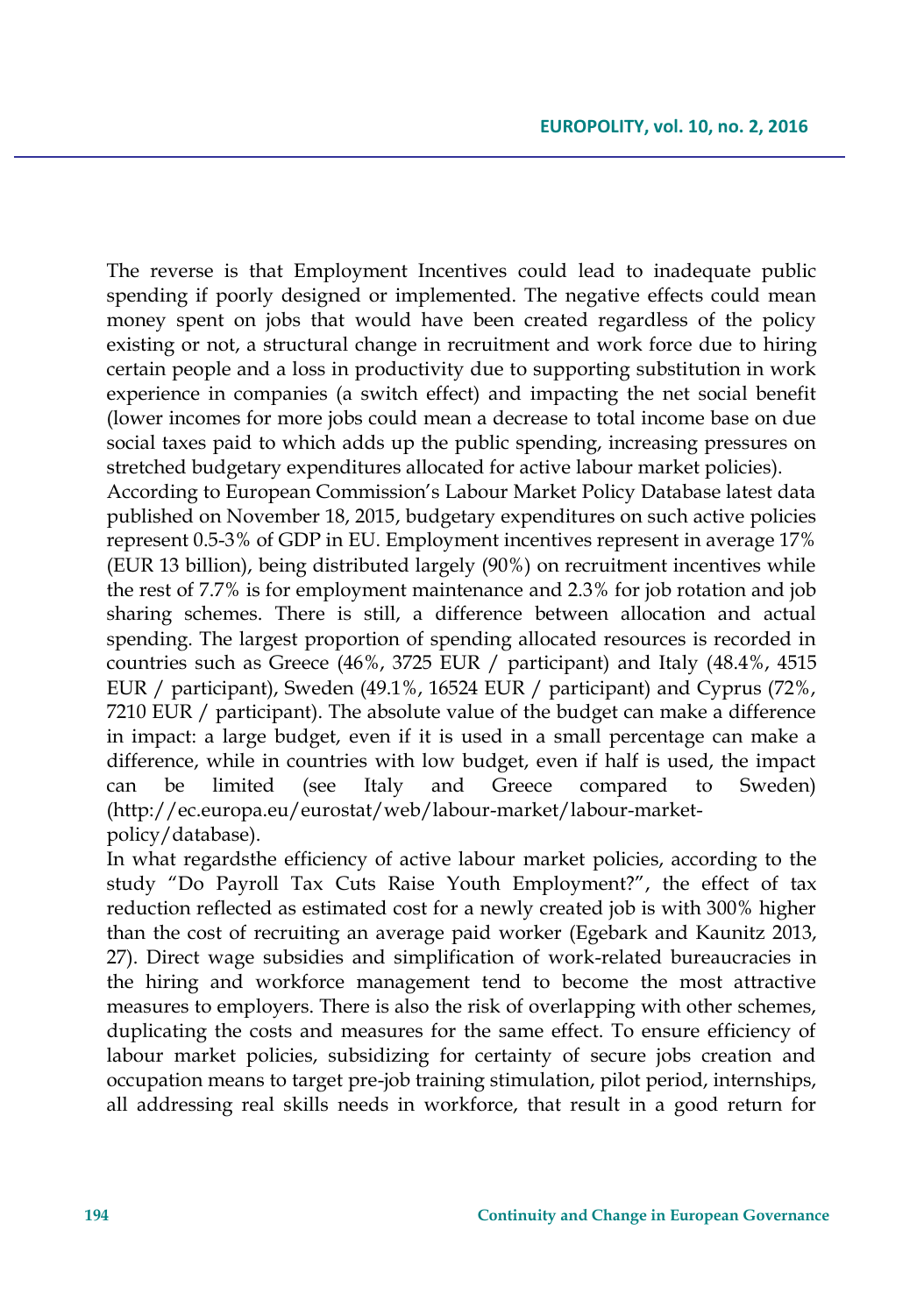The reverse is that Employment Incentives could lead to inadequate public spending if poorly designed or implemented. The negative effects could mean money spent on jobs that would have been created regardless of the policy existing or not, a structural change in recruitment and work force due to hiring certain people and a loss in productivity due to supporting substitution in work experience in companies (a switch effect) and impacting the net social benefit (lower incomes for more jobs could mean a decrease to total income base on due social taxes paid to which adds up the public spending, increasing pressures on stretched budgetary expenditures allocated for active labour market policies).

According to European Commission's Labour Market Policy Database latest data published on November 18, 2015, budgetary expenditures on such active policies represent 0.5-3% of GDP in EU. Employment incentives represent in average 17% (EUR 13 billion), being distributed largely (90%) on recruitment incentives while the rest of 7.7% is for employment maintenance and 2.3% for job rotation and job sharing schemes. There is still, a difference between allocation and actual spending. The largest proportion of spending allocated resources is recorded in countries such as Greece (46%, 3725 EUR / participant) and Italy (48.4%, 4515 EUR / participant), Sweden (49.1%, 16524 EUR / participant) and Cyprus (72%, 7210 EUR / participant). The absolute value of the budget can make a difference in impact: a large budget, even if it is used in a small percentage can make a difference, while in countries with low budget, even if half is used, the impact can be limited (see Italy and Greece compared to Sweden) (http://ec.europa.eu/eurostat/web/labour-market/labour-marketpolicy/database).

In what regardsthe efficiency of active labour market policies, according to the study "Do Payroll Tax Cuts Raise Youth Employment?", the effect of tax reduction reflected as estimated cost for a newly created job is with 300% higher than the cost of recruiting an average paid worker (Egebark and Kaunitz 2013, 27). Direct wage subsidies and simplification of work-related bureaucracies in the hiring and workforce management tend to become the most attractive measures to employers. There is also the risk of overlapping with other schemes, duplicating the costs and measures for the same effect. To ensure efficiency of labour market policies, subsidizing for certainty of secure jobs creation and occupation means to target pre-job training stimulation, pilot period, internships, all addressing real skills needs in workforce, that result in a good return for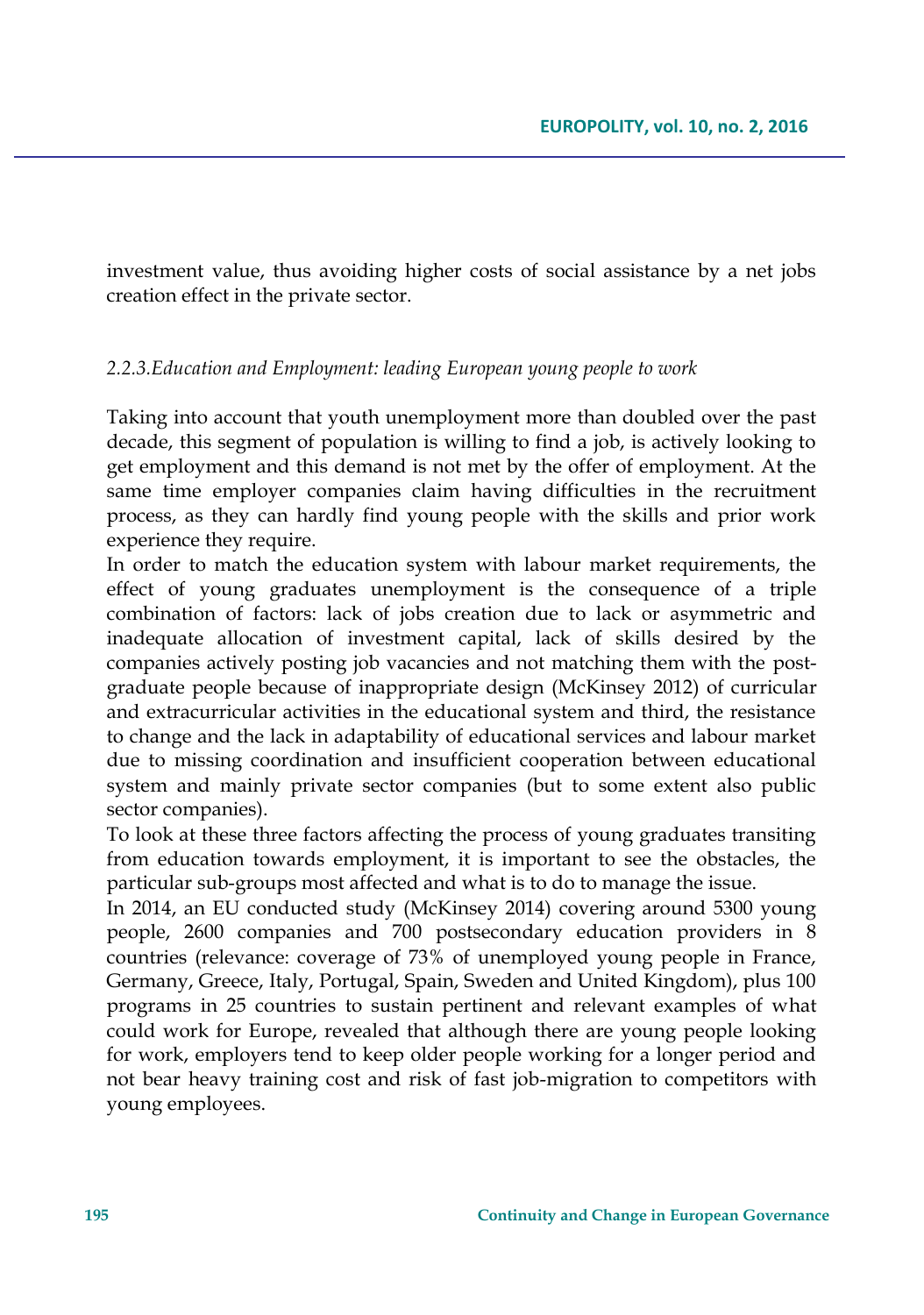investment value, thus avoiding higher costs of social assistance by a net jobs creation effect in the private sector.

#### *2.2.3.Education and Employment: leading European young people to work*

Taking into account that youth unemployment more than doubled over the past decade, this segment of population is willing to find a job, is actively looking to get employment and this demand is not met by the offer of employment. At the same time employer companies claim having difficulties in the recruitment process, as they can hardly find young people with the skills and prior work experience they require.

In order to match the education system with labour market requirements, the effect of young graduates unemployment is the consequence of a triple combination of factors: lack of jobs creation due to lack or asymmetric and inadequate allocation of investment capital, lack of skills desired by the companies actively posting job vacancies and not matching them with the postgraduate people because of inappropriate design (McKinsey 2012) of curricular and extracurricular activities in the educational system and third, the resistance to change and the lack in adaptability of educational services and labour market due to missing coordination and insufficient cooperation between educational system and mainly private sector companies (but to some extent also public sector companies).

To look at these three factors affecting the process of young graduates transiting from education towards employment, it is important to see the obstacles, the particular sub-groups most affected and what is to do to manage the issue.

In 2014, an EU conducted study (McKinsey 2014) covering around 5300 young people, 2600 companies and 700 postsecondary education providers in 8 countries (relevance: coverage of 73% of unemployed young people in France, Germany, Greece, Italy, Portugal, Spain, Sweden and United Kingdom), plus 100 programs in 25 countries to sustain pertinent and relevant examples of what could work for Europe, revealed that although there are young people looking for work, employers tend to keep older people working for a longer period and not bear heavy training cost and risk of fast job-migration to competitors with young employees.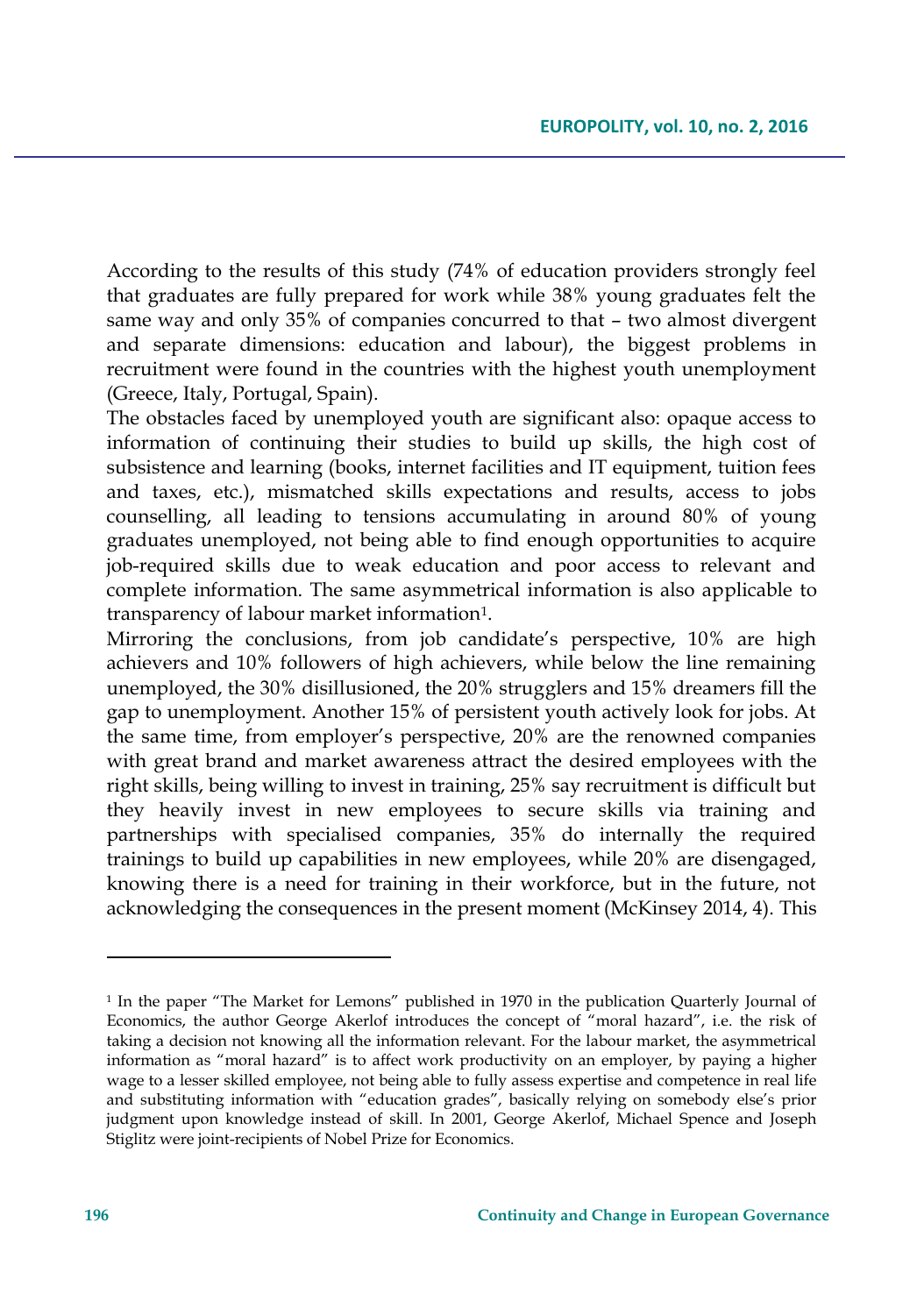According to the results of this study (74% of education providers strongly feel that graduates are fully prepared for work while 38% young graduates felt the same way and only 35% of companies concurred to that – two almost divergent and separate dimensions: education and labour), the biggest problems in recruitment were found in the countries with the highest youth unemployment (Greece, Italy, Portugal, Spain).

The obstacles faced by unemployed youth are significant also: opaque access to information of continuing their studies to build up skills, the high cost of subsistence and learning (books, internet facilities and IT equipment, tuition fees and taxes, etc.), mismatched skills expectations and results, access to jobs counselling, all leading to tensions accumulating in around 80% of young graduates unemployed, not being able to find enough opportunities to acquire job-required skills due to weak education and poor access to relevant and complete information. The same asymmetrical information is also applicable to transparency of labour market information<sup>1</sup>.

Mirroring the conclusions, from job candidate's perspective, 10% are high achievers and 10% followers of high achievers, while below the line remaining unemployed, the 30% disillusioned, the 20% strugglers and 15% dreamers fill the gap to unemployment. Another 15% of persistent youth actively look for jobs. At the same time, from employer's perspective, 20% are the renowned companies with great brand and market awareness attract the desired employees with the right skills, being willing to invest in training, 25% say recruitment is difficult but they heavily invest in new employees to secure skills via training and partnerships with specialised companies, 35% do internally the required trainings to build up capabilities in new employees, while 20% are disengaged, knowing there is a need for training in their workforce, but in the future, not acknowledging the consequences in the present moment (McKinsey 2014, 4). This

<sup>&</sup>lt;sup>1</sup> In the paper "The Market for Lemons" published in 1970 in the publication Quarterly Journal of Economics, the author George Akerlof introduces the concept of "moral hazard", i.e. the risk of taking a decision not knowing all the information relevant. For the labour market, the asymmetrical information as "moral hazard" is to affect work productivity on an employer, by paying a higher wage to a lesser skilled employee, not being able to fully assess expertise and competence in real life and substituting information with "education grades", basically relying on somebody else's prior judgment upon knowledge instead of skill. In 2001, George Akerlof, Michael Spence and Joseph Stiglitz were joint-recipients of Nobel Prize for Economics.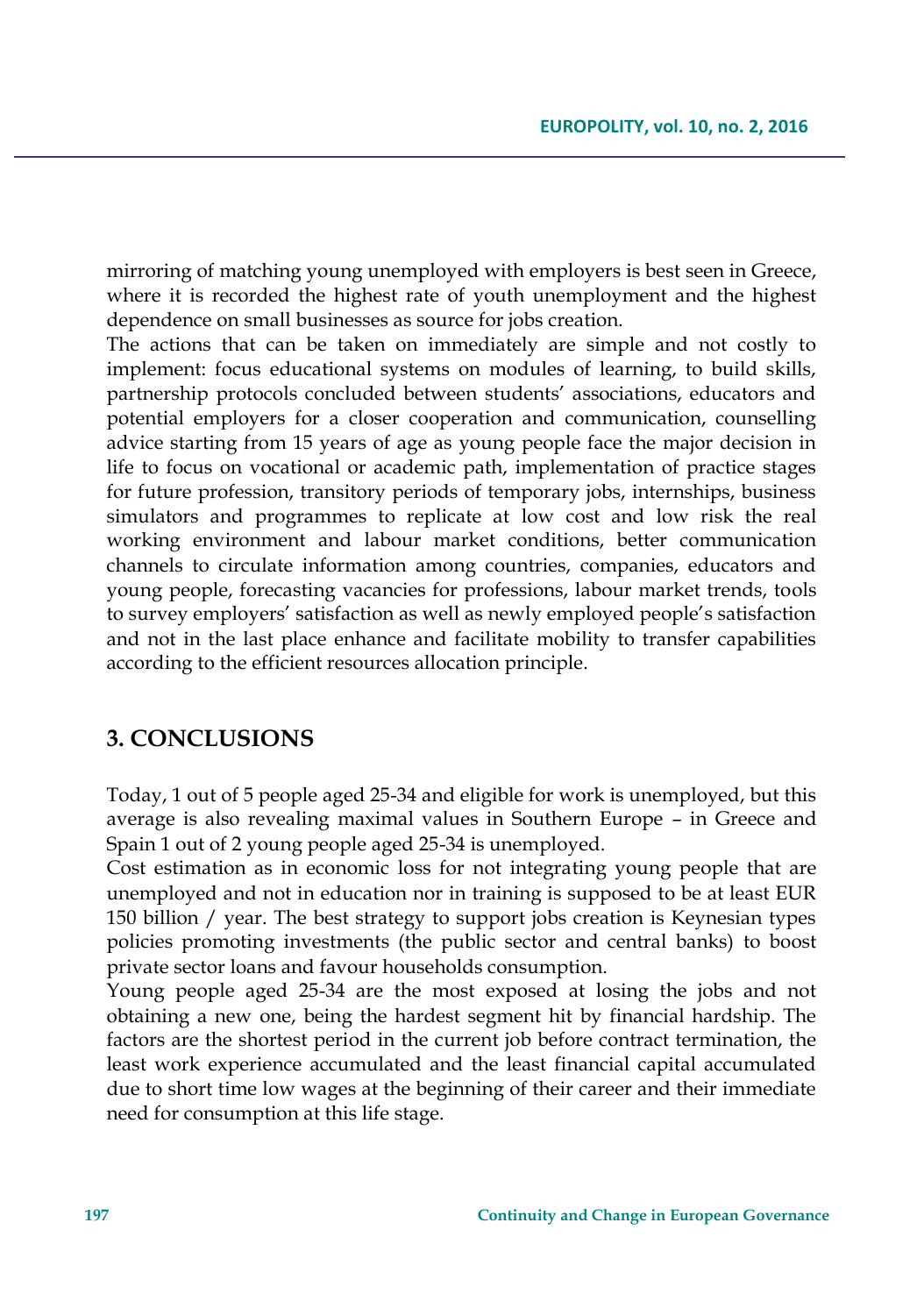mirroring of matching young unemployed with employers is best seen in Greece, where it is recorded the highest rate of youth unemployment and the highest dependence on small businesses as source for jobs creation.

The actions that can be taken on immediately are simple and not costly to implement: focus educational systems on modules of learning, to build skills, partnership protocols concluded between students' associations, educators and potential employers for a closer cooperation and communication, counselling advice starting from 15 years of age as young people face the major decision in life to focus on vocational or academic path, implementation of practice stages for future profession, transitory periods of temporary jobs, internships, business simulators and programmes to replicate at low cost and low risk the real working environment and labour market conditions, better communication channels to circulate information among countries, companies, educators and young people, forecasting vacancies for professions, labour market trends, tools to survey employers' satisfaction as well as newly employed people's satisfaction and not in the last place enhance and facilitate mobility to transfer capabilities according to the efficient resources allocation principle.

# **3. CONCLUSIONS**

Today, 1 out of 5 people aged 25-34 and eligible for work is unemployed, but this average is also revealing maximal values in Southern Europe – in Greece and Spain 1 out of 2 young people aged 25-34 is unemployed.

Cost estimation as in economic loss for not integrating young people that are unemployed and not in education nor in training is supposed to be at least EUR 150 billion / year. The best strategy to support jobs creation is Keynesian types policies promoting investments (the public sector and central banks) to boost private sector loans and favour households consumption.

Young people aged 25-34 are the most exposed at losing the jobs and not obtaining a new one, being the hardest segment hit by financial hardship. The factors are the shortest period in the current job before contract termination, the least work experience accumulated and the least financial capital accumulated due to short time low wages at the beginning of their career and their immediate need for consumption at this life stage.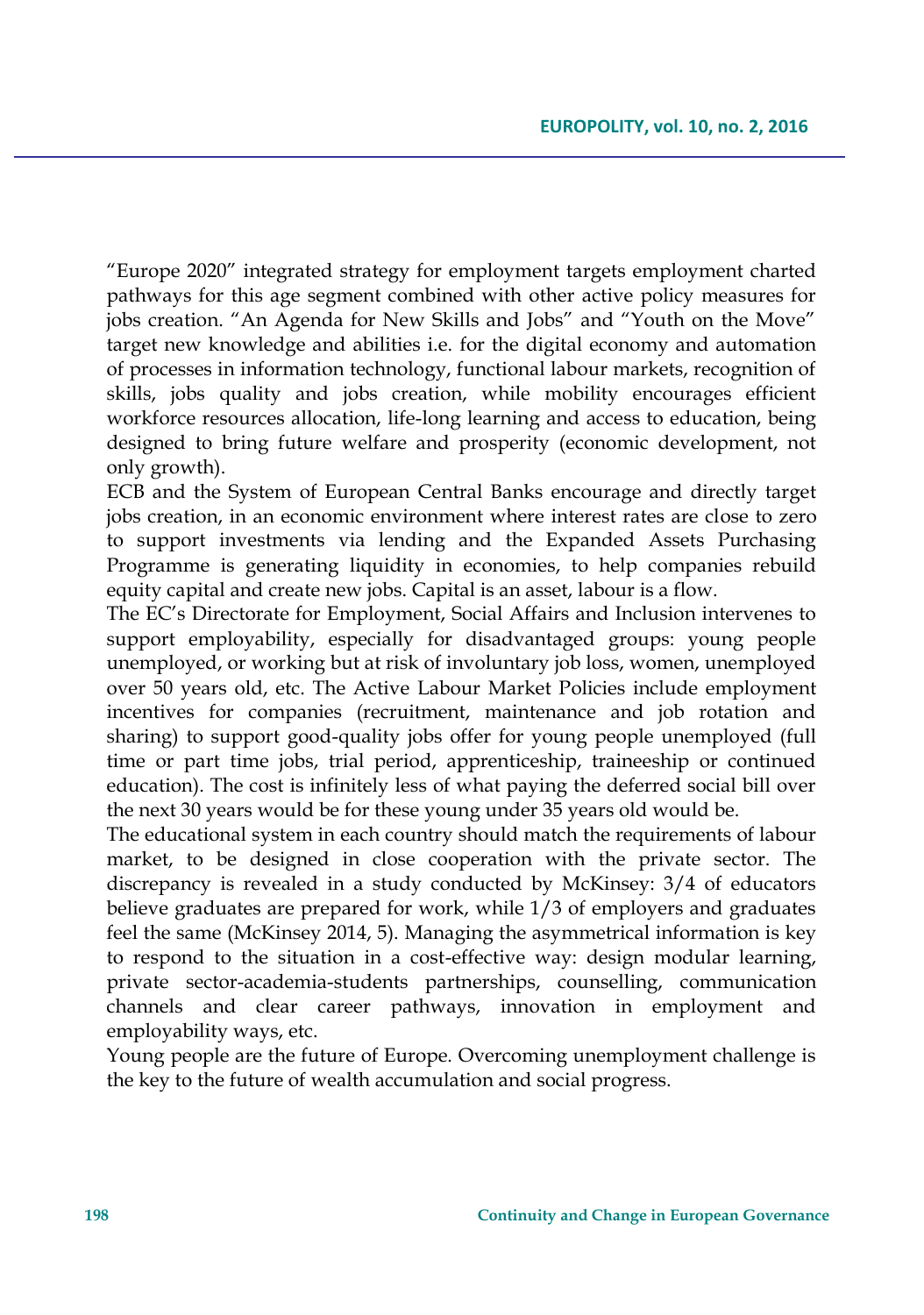"Europe 2020" integrated strategy for employment targets employment charted pathways for this age segment combined with other active policy measures for jobs creation. "An Agenda for New Skills and Jobs" and "Youth on the Move" target new knowledge and abilities i.e. for the digital economy and automation of processes in information technology, functional labour markets, recognition of skills, jobs quality and jobs creation, while mobility encourages efficient workforce resources allocation, life-long learning and access to education, being designed to bring future welfare and prosperity (economic development, not only growth).

ECB and the System of European Central Banks encourage and directly target jobs creation, in an economic environment where interest rates are close to zero to support investments via lending and the Expanded Assets Purchasing Programme is generating liquidity in economies, to help companies rebuild equity capital and create new jobs. Capital is an asset, labour is a flow.

The EC's Directorate for Employment, Social Affairs and Inclusion intervenes to support employability, especially for disadvantaged groups: young people unemployed, or working but at risk of involuntary job loss, women, unemployed over 50 years old, etc. The Active Labour Market Policies include employment incentives for companies (recruitment, maintenance and job rotation and sharing) to support good-quality jobs offer for young people unemployed (full time or part time jobs, trial period, apprenticeship, traineeship or continued education). The cost is infinitely less of what paying the deferred social bill over the next 30 years would be for these young under 35 years old would be.

The educational system in each country should match the requirements of labour market, to be designed in close cooperation with the private sector. The discrepancy is revealed in a study conducted by McKinsey: 3/4 of educators believe graduates are prepared for work, while 1/3 of employers and graduates feel the same (McKinsey 2014, 5). Managing the asymmetrical information is key to respond to the situation in a cost-effective way: design modular learning, private sector-academia-students partnerships, counselling, communication channels and clear career pathways, innovation in employment and employability ways, etc.

Young people are the future of Europe. Overcoming unemployment challenge is the key to the future of wealth accumulation and social progress.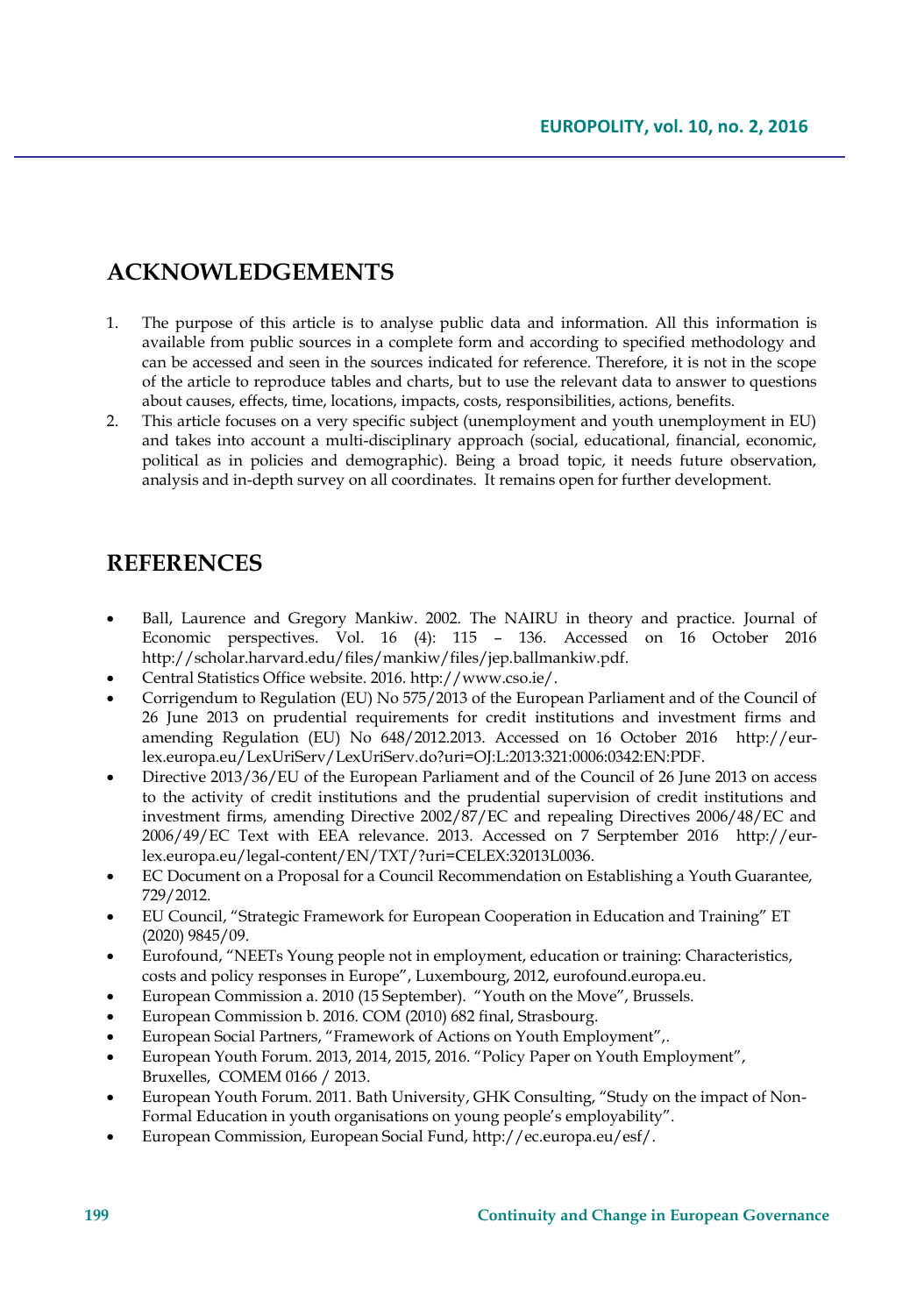# **ACKNOWLEDGEMENTS**

- 1. The purpose of this article is to analyse public data and information. All this information is available from public sources in a complete form and according to specified methodology and can be accessed and seen in the sources indicated for reference. Therefore, it is not in the scope of the article to reproduce tables and charts, but to use the relevant data to answer to questions about causes, effects, time, locations, impacts, costs, responsibilities, actions, benefits.
- 2. This article focuses on a very specific subject (unemployment and youth unemployment in EU) and takes into account a multi-disciplinary approach (social, educational, financial, economic, political as in policies and demographic). Being a broad topic, it needs future observation, analysis and in-depth survey on all coordinates. It remains open for further development.

## **REFERENCES**

- Ball, Laurence and Gregory Mankiw. 2002. The NAIRU in theory and practice. Journal of Economic perspectives. Vol. 16 (4): 115 – 136. Accessed on 16 October 2016 http://scholar.harvard.edu/files/mankiw/files/jep.ballmankiw.pdf.
- Central Statistics Office website. 2016. http://www.cso.ie/.
- Corrigendum to Regulation (EU) No 575/2013 of the European Parliament and of the Council of 26 June 2013 on prudential requirements for credit institutions and investment firms and amending Regulation (EU) No 648/2012.2013. Accessed on 16 October 2016 http://eurlex.europa.eu/LexUriServ/LexUriServ.do?uri=OJ:L:2013:321:0006:0342:EN:PDF.
- Directive 2013/36/EU of the European Parliament and of the Council of 26 June 2013 on access to the activity of credit institutions and the prudential supervision of credit institutions and investment firms, amending Directive 2002/87/EC and repealing Directives 2006/48/EC and 2006/49/EC Text with EEA relevance. 2013. Accessed on 7 Serptember 2016 http://eurlex.europa.eu/legal-content/EN/TXT/?uri=CELEX:32013L0036.
- EC Document on a Proposal for a Council Recommendation on Establishing a Youth Guarantee, 729/2012.
- EU Council, "Strategic Framework for European Cooperation in Education and Training" ET (2020) 9845/09.
- Eurofound, "NEETs Young people not in employment, education or training: Characteristics, costs and policy responses in Europe", Luxembourg, 2012, eurofound.europa.eu.
- European Commission a. 2010 (15 September). "Youth on the Move", Brussels.
- European Commission b. 2016. COM (2010) 682 final, Strasbourg.
- European Social Partners, "Framework of Actions on Youth Employment",.
- European Youth Forum. 2013, 2014, 2015, 2016. "Policy Paper on Youth Employment", Bruxelles, COMEM 0166 / 2013.
- European Youth Forum. 2011. Bath University, GHK Consulting, "Study on the impact of Non-Formal Education in youth organisations on young people's employability".
- European Commission, European Social Fund, http://ec.europa.eu/esf/.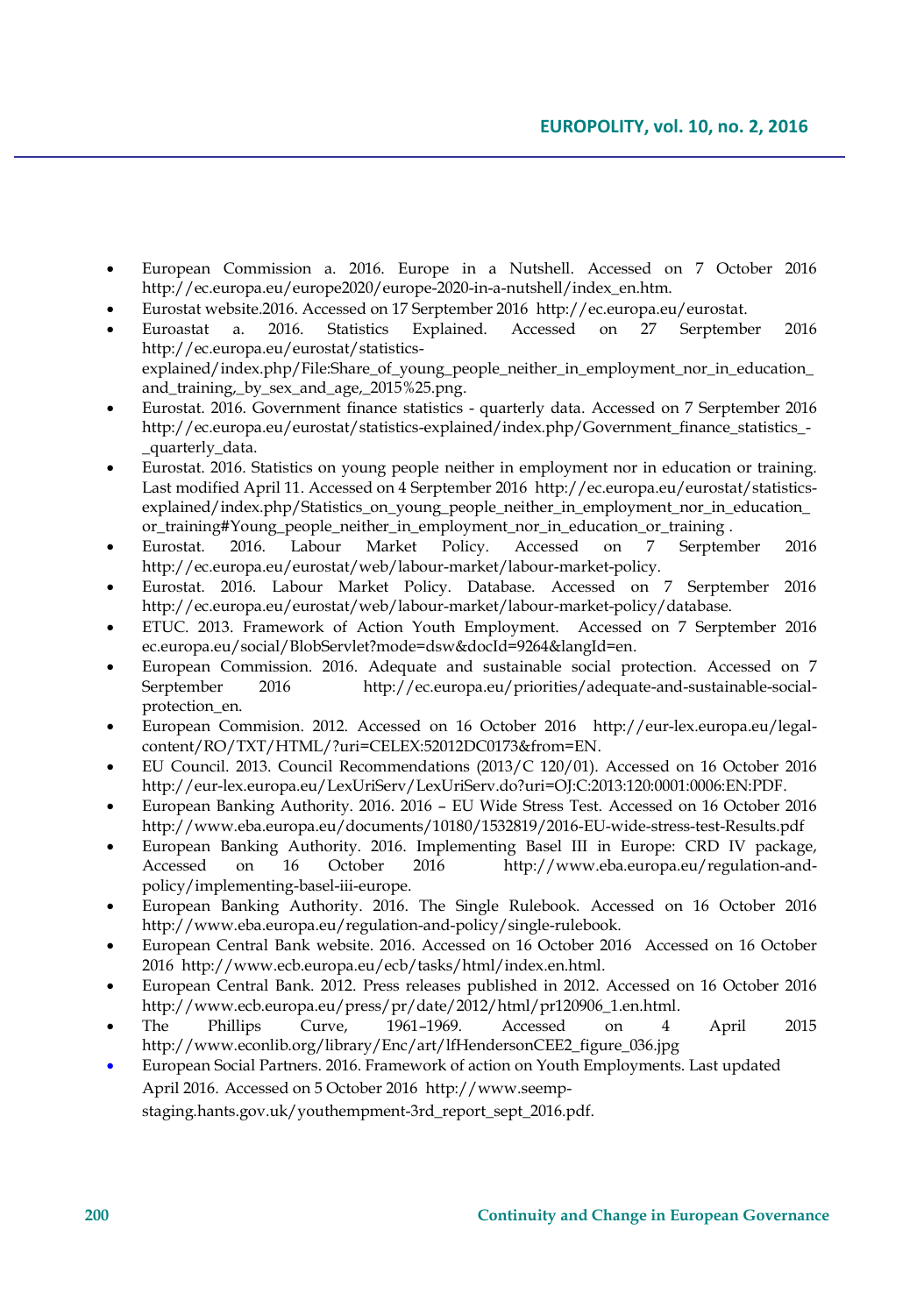- European Commission a. 2016. Europe in a Nutshell. Accessed on 7 October 2016 http://ec.europa.eu/europe2020/europe-2020-in-a-nutshell/index\_en.htm.
- Eurostat website.2016. Accessed on 17 Serptember 2016 http://ec.europa.eu/eurostat.
- Euroastat a. 2016. Statistics Explained. Accessed on 27 Serptember 2016 http://ec.europa.eu/eurostat/statisticsexplained/index.php/File:Share\_of\_young\_people\_neither\_in\_employment\_nor\_in\_education\_ and\_training,\_by\_sex\_and\_age,\_2015%25.png.
- Eurostat. 2016. Government finance statistics quarterly data. Accessed on 7 Serptember 2016 http://ec.europa.eu/eurostat/statistics-explained/index.php/Government\_finance\_statistics\_- \_quarterly\_data.
- Eurostat. 2016. Statistics on young people neither in employment nor in education or training. Last modified April 11. Accessed on 4 Serptember 2016 http://ec.europa.eu/eurostat/statisticsexplained/index.php/Statistics\_on\_young\_people\_neither\_in\_employment\_nor\_in\_education\_ or\_training#Young\_people\_neither\_in\_employment\_nor\_in\_education\_or\_training .
- Eurostat. 2016. Labour Market Policy. Accessed on 7 Serptember 2016 http://ec.europa.eu/eurostat/web/labour-market/labour-market-policy.
- Eurostat. 2016. Labour Market Policy. Database. Accessed on 7 Serptember 2016 http://ec.europa.eu/eurostat/web/labour-market/labour-market-policy/database.
- ETUC. 2013. Framework of Action Youth Employment.Accessed on 7 Serptember 2016 ec.europa.eu/social/BlobServlet?mode=dsw&docId=9264&langId=en.
- European Commission. 2016. Adequate and sustainable social protection. Accessed on 7 Serptember 2016 http://ec.europa.eu/priorities/adequate-and-sustainable-socialprotection\_en.
- European Commision. 2012. Accessed on 16 October 2016 http://eur-lex.europa.eu/legalcontent/RO/TXT/HTML/?uri=CELEX:52012DC0173&from=EN.
- EU Council. 2013. Council Recommendations (2013/C 120/01). Accessed on 16 October 2016 http://eur-lex.europa.eu/LexUriServ/LexUriServ.do?uri=OJ:C:2013:120:0001:0006:EN:PDF.
- European Banking Authority. 2016. 2016 EU Wide Stress Test. Accessed on 16 October 2016 http://www.eba.europa.eu/documents/10180/1532819/2016-EU-wide-stress-test-Results.pdf
- European Banking Authority. 2016. Implementing Basel III in Europe: CRD IV package, Accessed on 16 October 2016 http://www.eba.europa.eu/regulation-andpolicy/implementing-basel-iii-europe.
- European Banking Authority. 2016. The Single Rulebook. Accessed on 16 October 2016 http://www.eba.europa.eu/regulation-and-policy/single-rulebook.
- European Central Bank website. 2016. Accessed on 16 October 2016 Accessed on 16 October 2016 http://www.ecb.europa.eu/ecb/tasks/html/index.en.html.
- European Central Bank. 2012. Press releases published in 2012. Accessed on 16 October 2016 http://www.ecb.europa.eu/press/pr/date/2012/html/pr120906\_1.en.html.
- The Phillips Curve, 1961–1969. Accessed on 4 April 2015 http://www.econlib.org/library/Enc/art/lfHendersonCEE2\_figure\_036.jpg
- European Social Partners. 2016. Framework of action on Youth Employments. Last updated April 2016. Accessed on 5 October 2016 http://www.seempstaging.hants.gov.uk/youthempment-3rd\_report\_sept\_2016.pdf.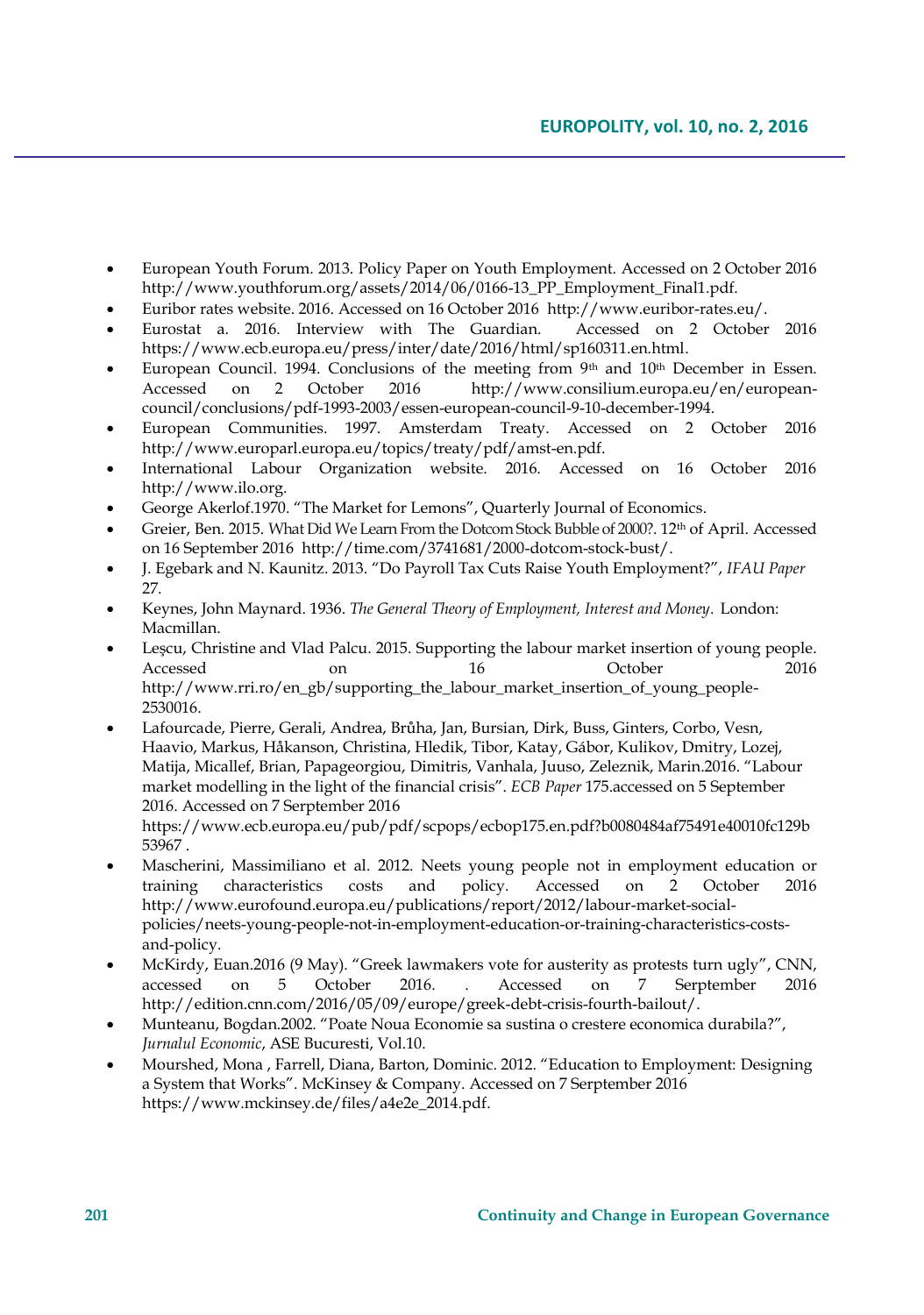- European Youth Forum. 2013. Policy Paper on Youth Employment. Accessed on 2 October 2016 http://www.youthforum.org/assets/2014/06/0166-13\_PP\_Employment\_Final1.pdf.
- Euribor rates website. 2016. Accessed on 16 October 2016 http://www.euribor-rates.eu/.
- Eurostat a. 2016. Interview with The Guardian. Accessed on 2 October 2016 https://www.ecb.europa.eu/press/inter/date/2016/html/sp160311.en.html.
- European Council. 1994. Conclusions of the meeting from  $9<sup>th</sup>$  and  $10<sup>th</sup>$  December in Essen.<br>Accessed on 2 October 2016 http://www.consilium.europa.eu/en/european-Accessed on 2 October 2016 http://www.consilium.europa.eu/en/europeancouncil/conclusions/pdf-1993-2003/essen-european-council-9-10-december-1994.
- European Communities. 1997. Amsterdam Treaty. Accessed on 2 October 2016 http://www.europarl.europa.eu/topics/treaty/pdf/amst-en.pdf.
- International Labour Organization website. 2016. Accessed on 16 October 2016 http://www.ilo.org.
- George Akerlof.1970. "The Market for Lemons", Quarterly Journal of Economics.
- Greier, Ben. 2015. What Did We Learn From the Dotcom Stock Bubble of 2000?. 12<sup>th</sup> of April. Accessed on 16 September 2016 http://time.com/3741681/2000-dotcom-stock-bust/.
- J. Egebark and N. Kaunitz. 2013. "Do Payroll Tax Cuts Raise Youth Employment?", *IFAU Paper* 27.
- Keynes, John Maynard. 1936. *The General Theory of Employment, Interest and Money*. London: Macmillan.
- [Leşcu](http://www.rri.ro/en_gb/supporting_the_labour_market_insertion_of_young_people-2530016), Christine and Vlad Palcu. 2015. Supporting the labour market insertion of young people. Accessed on 16 October 2016 http://www.rri.ro/en\_gb/supporting\_the\_labour\_market\_insertion\_of\_young\_people-2530016.
- Lafourcade, Pierre, Gerali, Andrea, Brůha, Jan, Bursian, Dirk, Buss, Ginters, Corbo, Vesn, Haavio, Markus, Håkanson, Christina, Hledik, Tibor, Katay, Gábor, Kulikov, Dmitry, Lozej, Matija, Micallef, Brian, Papageorgiou, Dimitris, Vanhala, Juuso, Zeleznik, Marin.2016. "Labour market modelling in the light of the financial crisis". *ECB Paper* 175.accessed on 5 September 2016. Accessed on 7 Serptember 2016

https://www.ecb.europa.eu/pub/pdf/scpops/ecbop175.en.pdf?b0080484af75491e40010fc129b 53967 .

- Mascherini, Massimiliano et al. 2012. Neets young people not in employment education or training characteristics costs and policy. Accessed on 2 October 2016 training characteristics costs and policy. Accessed on 2 October 2016 http://www.eurofound.europa.eu/publications/report/2012/labour-market-socialpolicies/neets-young-people-not-in-employment-education-or-training-characteristics-costsand-policy.
- McKirdy, Euan.2016 (9 May). "Greek lawmakers vote for austerity as protests turn ugly", CNN, accessed on 5 October 2016. . Accessed on 7 Serptember 2016 http://edition.cnn.com/2016/05/09/europe/greek-debt-crisis-fourth-bailout/.
- Munteanu, Bogdan.2002. "Poate Noua Economie sa sustina o crestere economica durabila?", *Jurnalul Economic*, ASE Bucuresti, Vol.10.
- Mourshed, Mona , Farrell, Diana, Barton, Dominic. 2012. "Education to Employment: Designing a System that Works". McKinsey & Company. Accessed on 7 Serptember 2016 https://www.mckinsey.de/files/a4e2e\_2014.pdf.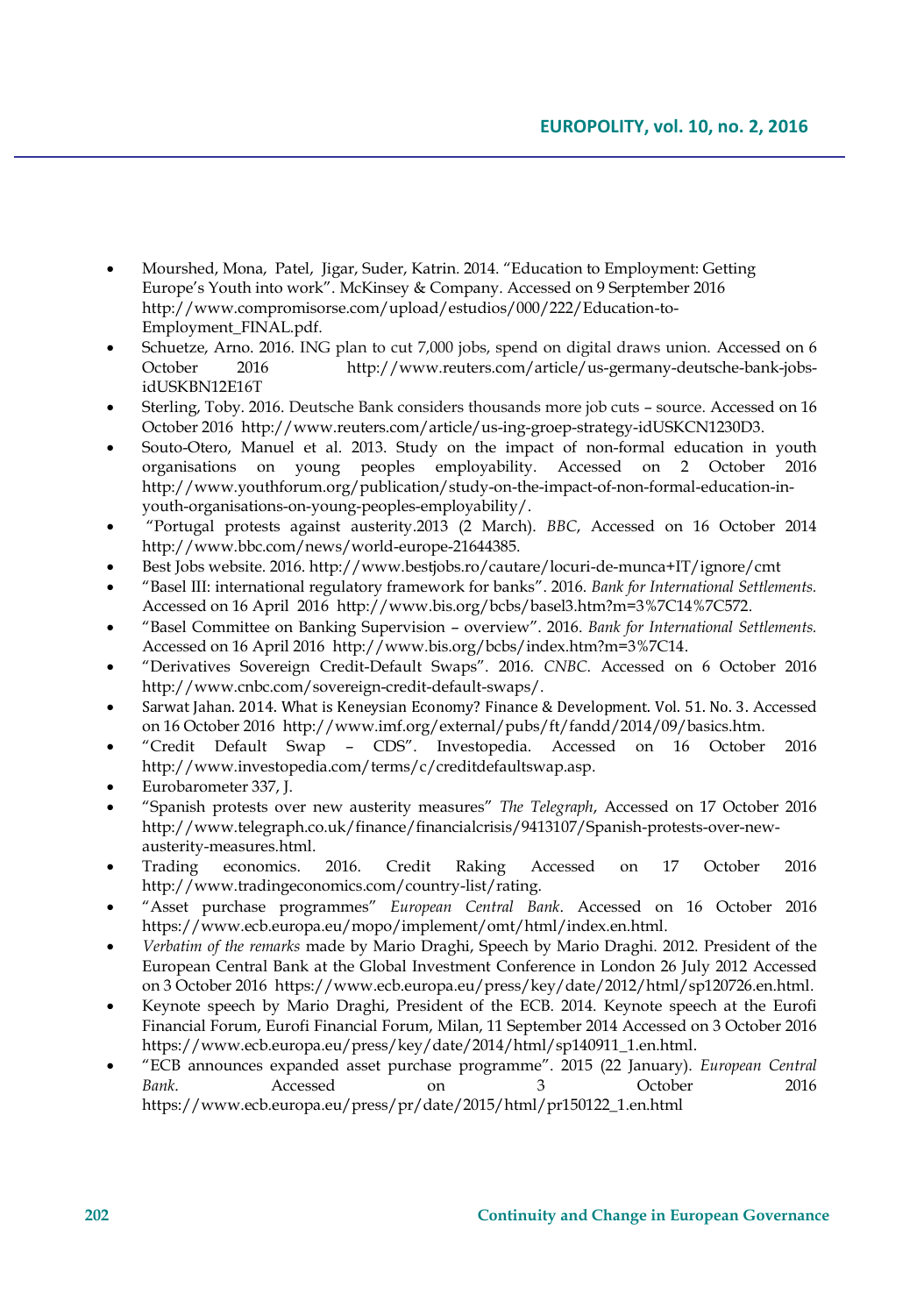- Mourshed, Mona, Patel, Jigar, Suder, Katrin. 2014. "Education to Employment: Getting Europe's Youth into work". McKinsey & Company. Accessed on 9 Serptember 2016 http://www.compromisorse.com/upload/estudios/000/222/Education-to-Employment\_FINAL.pdf.
- [Schuetze,](http://www.reuters.com/journalists/arno-schuetze) Arno. 2016. ING plan to cut 7,000 jobs, spend on digital draws union. Accessed on 6<br>October 2016 http://www.reuters.com/article/us-germany-deutsche-bank-jobs-2016 http://www.reuters.com/article/us-germany-deutsche-bank-jobsidUSKBN12E16T
- [Sterling,](http://www.reuters.com/journalists/toby-sterling) Toby. 2016. Deutsche Bank considers thousands more job cuts source. Accessed on 16 October 2016 http://www.reuters.com/article/us-ing-groep-strategy-idUSKCN1230D3.
- Souto-Otero, Manuel et al. 2013. Study on the impact of non-formal education in youth organisations on young peoples employability. Accessed on 2 October 2016 http://www.youthforum.org/publication/study-on-the-impact-of-non-formal-education-inyouth-organisations-on-young-peoples-employability/.
- "Portugal protests against austerity.2013 (2 March). *BBC*, Accessed on 16 October 2014 http://www.bbc.com/news/world-europe-21644385.
- Best Jobs website. 2016. http://www.bestjobs.ro/cautare/locuri-de-munca+IT/ignore/cmt
- "Basel III: international regulatory framework for banks". 2016. *Bank for International Settlements.*  Accessed on 16 April 2016 http://www.bis.org/bcbs/basel3.htm?m=3%7C14%7C572.
- "Basel Committee on Banking Supervision overview". 2016. *Bank for International Settlements.* Accessed on 16 April 2016 http://www.bis.org/bcbs/index.htm?m=3%7C14.
- "Derivatives Sovereign Credit-Default Swaps". 2016. *CNBC*. Accessed on 6 October 2016 http://www.cnbc.com/sovereign-credit-default-swaps/.
- Sarwat Jahan. 2014. What is Keneysian Economy? Finance & Development. Vol. 51. No. 3. Accessed on 16 October 2016 http://www.imf.org/external/pubs/ft/fandd/2014/09/basics.htm.
- "Credit Default Swap CDS". Investopedia. Accessed on 16 October 2016 http://www.investopedia.com/terms/c/creditdefaultswap.asp.
- Eurobarometer 337, J.
- "Spanish protests over new austerity measures" *The Telegraph*, Accessed on 17 October 2016 http://www.telegraph.co.uk/finance/financialcrisis/9413107/Spanish-protests-over-newausterity-measures.html.
- Trading economics. 2016. Credit Raking Accessed on 17 October 2016 http://www.tradingeconomics.com/country-list/rating.
- "Asset purchase programmes" *European Central Bank*. Accessed on 16 October 2016 https://www.ecb.europa.eu/mopo/implement/omt/html/index.en.html.
- *Verbatim of the remarks* made by Mario Draghi, Speech by Mario Draghi. 2012. President of the European Central Bank at the Global Investment Conference in London 26 July 2012 Accessed on 3 October 2016 https://www.ecb.europa.eu/press/key/date/2012/html/sp120726.en.html.
- Keynote speech by Mario Draghi, President of the ECB. 2014. Keynote speech at the Eurofi Financial Forum, Eurofi Financial Forum, Milan, 11 September 2014 Accessed on 3 October 2016 https://www.ecb.europa.eu/press/key/date/2014/html/sp140911\_1.en.html.
- "ECB announces expanded asset purchase programme". 2015 (22 January). *European Central Bank*. Accessed on 3 October 2016 https://www.ecb.europa.eu/press/pr/date/2015/html/pr150122\_1.en.html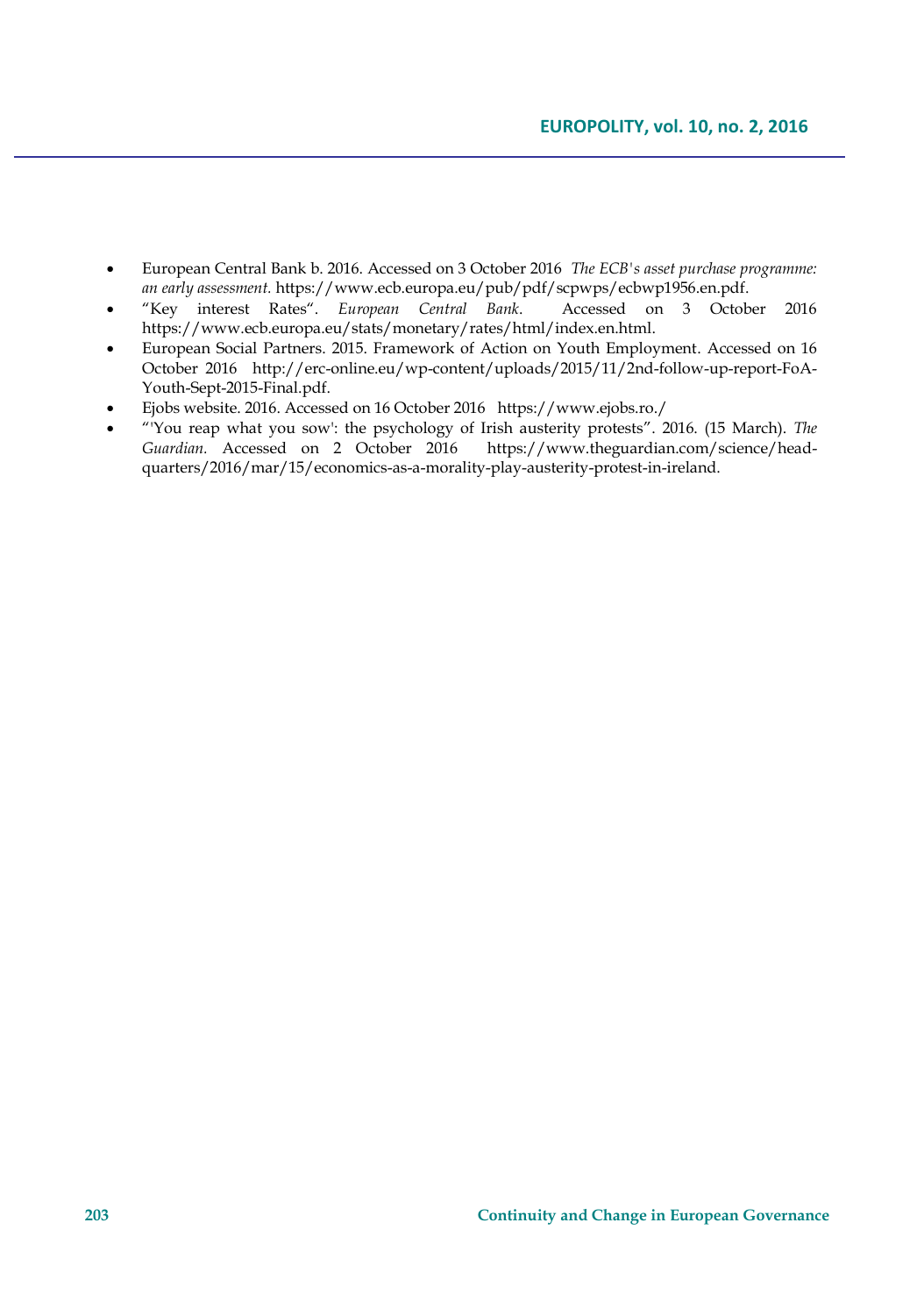- European Central Bank b. 2016. Accessed on 3 October 2016 *The ECB's asset purchase programme: an early assessment.* https://www.ecb.europa.eu/pub/pdf/scpwps/ecbwp1956.en.pdf.
- "Key interest Rates". European Central Bank. https://www.ecb.europa.eu/stats/monetary/rates/html/index.en.html.
- European Social Partners. 2015. Framework of Action on Youth Employment. Accessed on 16 October 2016 http://erc-online.eu/wp-content/uploads/2015/11/2nd-follow-up-report-FoA-Youth-Sept-2015-Final.pdf.
- Ejobs website. 2016. Accessed on 16 October 2016 https://www.ejobs.ro./
- "'You reap what you sow': the psychology of Irish austerity protests". 2016. (15 March). *The*  https://www.theguardian.com/science/headquarters/2016/mar/15/economics-as-a-morality-play-austerity-protest-in-ireland.